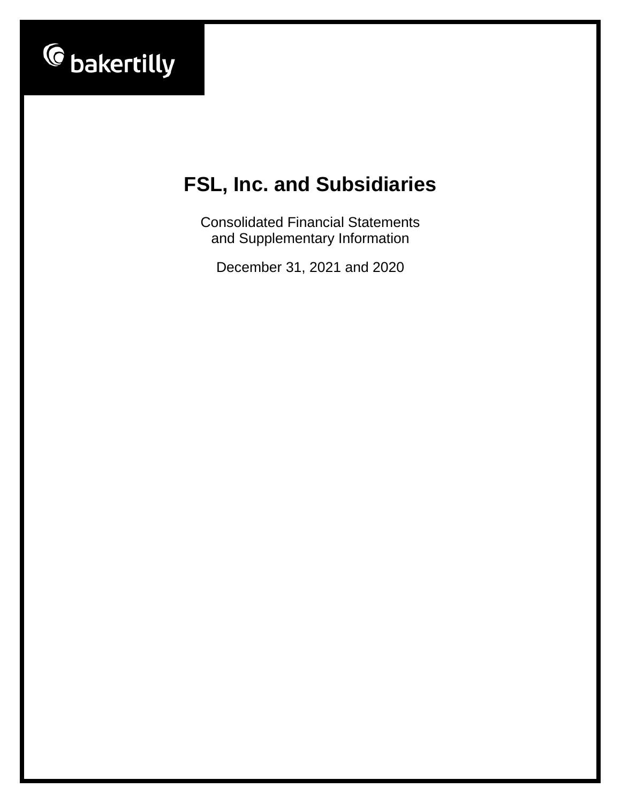

Consolidated Financial Statements and Supplementary Information

December 31, 2021 and 2020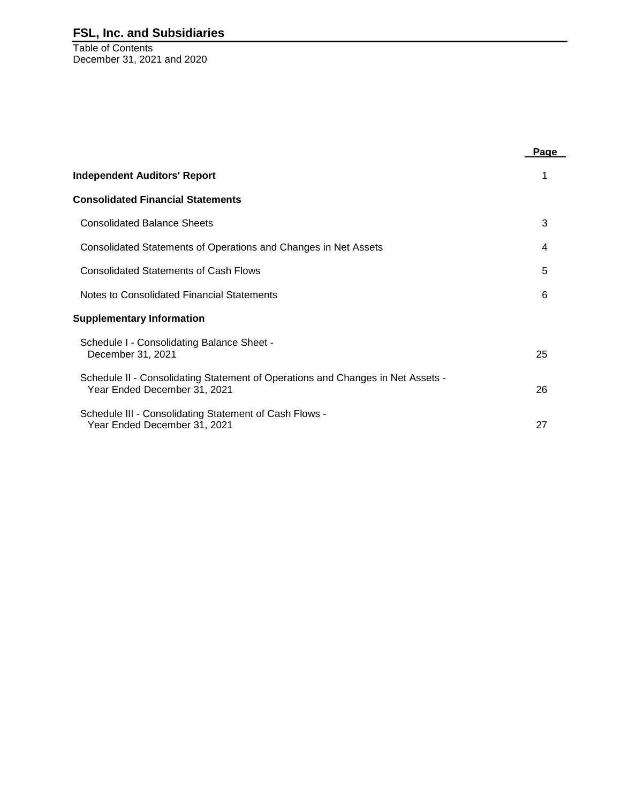Table of Contents December 31, 2021 and 2020

|                                                                                                                 | <u>Page</u> |
|-----------------------------------------------------------------------------------------------------------------|-------------|
| <b>Independent Auditors' Report</b>                                                                             |             |
| <b>Consolidated Financial Statements</b>                                                                        |             |
| <b>Consolidated Balance Sheets</b>                                                                              | 3           |
| Consolidated Statements of Operations and Changes in Net Assets                                                 | 4           |
| Consolidated Statements of Cash Flows                                                                           | 5           |
| Notes to Consolidated Financial Statements                                                                      | 6           |
| <b>Supplementary Information</b>                                                                                |             |
| Schedule I - Consolidating Balance Sheet -<br>December 31, 2021                                                 | 25          |
| Schedule II - Consolidating Statement of Operations and Changes in Net Assets -<br>Year Ended December 31, 2021 | 26          |
| Schedule III - Consolidating Statement of Cash Flows -<br>Year Ended December 31, 2021                          | 27          |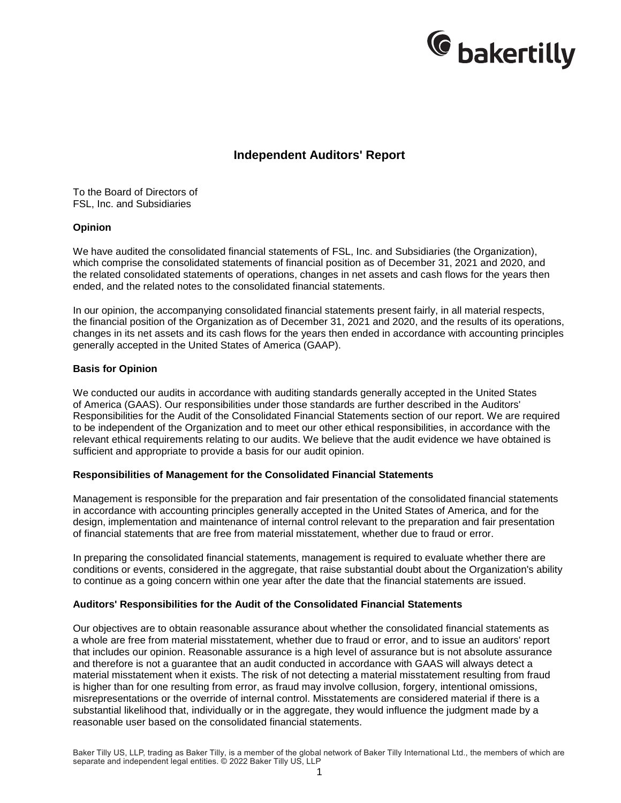

# **Independent Auditors' Report**

To the Board of Directors of FSL, Inc. and Subsidiaries

#### **Opinion**

We have audited the consolidated financial statements of FSL, Inc. and Subsidiaries (the Organization), which comprise the consolidated statements of financial position as of December 31, 2021 and 2020, and the related consolidated statements of operations, changes in net assets and cash flows for the years then ended, and the related notes to the consolidated financial statements.

In our opinion, the accompanying consolidated financial statements present fairly, in all material respects, the financial position of the Organization as of December 31, 2021 and 2020, and the results of its operations, changes in its net assets and its cash flows for the years then ended in accordance with accounting principles generally accepted in the United States of America (GAAP).

#### **Basis for Opinion**

We conducted our audits in accordance with auditing standards generally accepted in the United States of America (GAAS). Our responsibilities under those standards are further described in the Auditors' Responsibilities for the Audit of the Consolidated Financial Statements section of our report. We are required to be independent of the Organization and to meet our other ethical responsibilities, in accordance with the relevant ethical requirements relating to our audits. We believe that the audit evidence we have obtained is sufficient and appropriate to provide a basis for our audit opinion.

#### **Responsibilities of Management for the Consolidated Financial Statements**

Management is responsible for the preparation and fair presentation of the consolidated financial statements in accordance with accounting principles generally accepted in the United States of America, and for the design, implementation and maintenance of internal control relevant to the preparation and fair presentation of financial statements that are free from material misstatement, whether due to fraud or error.

In preparing the consolidated financial statements, management is required to evaluate whether there are conditions or events, considered in the aggregate, that raise substantial doubt about the Organization's ability to continue as a going concern within one year after the date that the financial statements are issued.

#### **Auditors' Responsibilities for the Audit of the Consolidated Financial Statements**

Our objectives are to obtain reasonable assurance about whether the consolidated financial statements as a whole are free from material misstatement, whether due to fraud or error, and to issue an auditors' report that includes our opinion. Reasonable assurance is a high level of assurance but is not absolute assurance and therefore is not a guarantee that an audit conducted in accordance with GAAS will always detect a material misstatement when it exists. The risk of not detecting a material misstatement resulting from fraud is higher than for one resulting from error, as fraud may involve collusion, forgery, intentional omissions, misrepresentations or the override of internal control. Misstatements are considered material if there is a substantial likelihood that, individually or in the aggregate, they would influence the judgment made by a reasonable user based on the consolidated financial statements.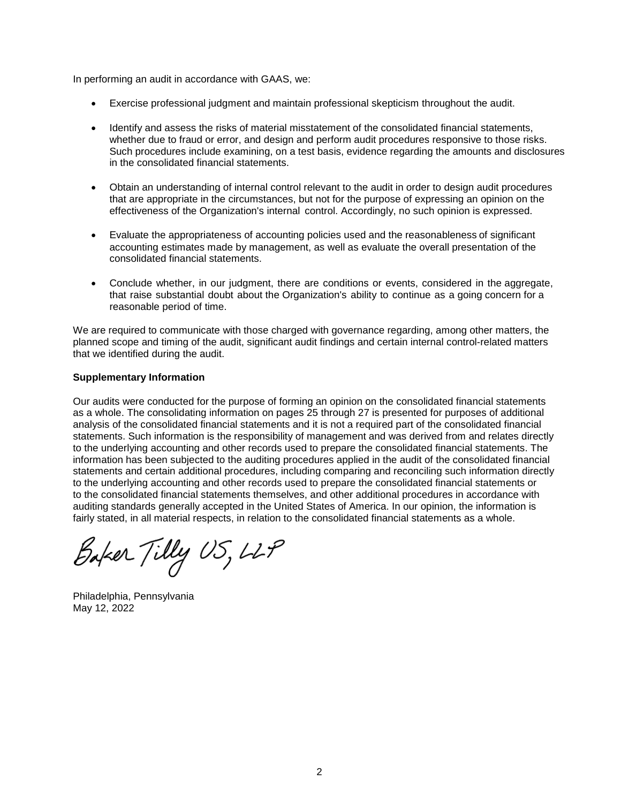In performing an audit in accordance with GAAS, we:

- Exercise professional judgment and maintain professional skepticism throughout the audit.
- Identify and assess the risks of material misstatement of the consolidated financial statements, whether due to fraud or error, and design and perform audit procedures responsive to those risks. Such procedures include examining, on a test basis, evidence regarding the amounts and disclosures in the consolidated financial statements.
- Obtain an understanding of internal control relevant to the audit in order to design audit procedures that are appropriate in the circumstances, but not for the purpose of expressing an opinion on the effectiveness of the Organization's internal control. Accordingly, no such opinion is expressed.
- Evaluate the appropriateness of accounting policies used and the reasonableness of significant accounting estimates made by management, as well as evaluate the overall presentation of the consolidated financial statements.
- Conclude whether, in our judgment, there are conditions or events, considered in the aggregate, that raise substantial doubt about the Organization's ability to continue as a going concern for a reasonable period of time.

We are required to communicate with those charged with governance regarding, among other matters, the planned scope and timing of the audit, significant audit findings and certain internal control-related matters that we identified during the audit.

#### **Supplementary Information**

Our audits were conducted for the purpose of forming an opinion on the consolidated financial statements as a whole. The consolidating information on pages 25 through 27 is presented for purposes of additional analysis of the consolidated financial statements and it is not a required part of the consolidated financial statements. Such information is the responsibility of management and was derived from and relates directly to the underlying accounting and other records used to prepare the consolidated financial statements. The information has been subjected to the auditing procedures applied in the audit of the consolidated financial statements and certain additional procedures, including comparing and reconciling such information directly to the underlying accounting and other records used to prepare the consolidated financial statements or to the consolidated financial statements themselves, and other additional procedures in accordance with auditing standards generally accepted in the United States of America. In our opinion, the information is fairly stated, in all material respects, in relation to the consolidated financial statements as a whole.

Baker Tilly US, LLP

Philadelphia, Pennsylvania May 12, 2022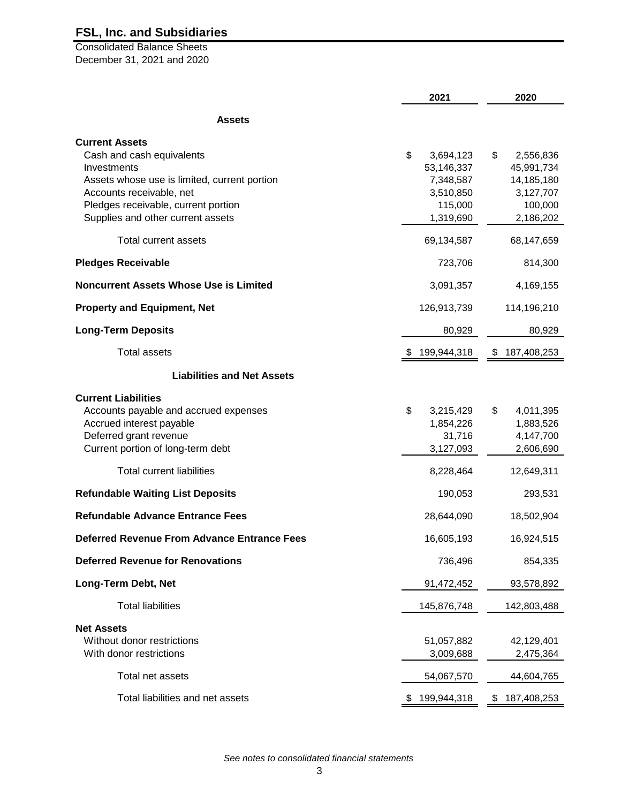Consolidated Balance Sheets December 31, 2021 and 2020

|                                                                                                                                                                                                                           | 2021                                                                            | 2020                                                                             |
|---------------------------------------------------------------------------------------------------------------------------------------------------------------------------------------------------------------------------|---------------------------------------------------------------------------------|----------------------------------------------------------------------------------|
| <b>Assets</b>                                                                                                                                                                                                             |                                                                                 |                                                                                  |
| <b>Current Assets</b><br>Cash and cash equivalents<br>Investments<br>Assets whose use is limited, current portion<br>Accounts receivable, net<br>Pledges receivable, current portion<br>Supplies and other current assets | \$<br>3,694,123<br>53,146,337<br>7,348,587<br>3,510,850<br>115,000<br>1,319,690 | \$<br>2,556,836<br>45,991,734<br>14,185,180<br>3,127,707<br>100,000<br>2,186,202 |
| Total current assets                                                                                                                                                                                                      | 69,134,587                                                                      | 68,147,659                                                                       |
| <b>Pledges Receivable</b>                                                                                                                                                                                                 | 723,706                                                                         | 814,300                                                                          |
| <b>Noncurrent Assets Whose Use is Limited</b>                                                                                                                                                                             | 3,091,357                                                                       | 4,169,155                                                                        |
| <b>Property and Equipment, Net</b>                                                                                                                                                                                        | 126,913,739                                                                     | 114,196,210                                                                      |
| <b>Long-Term Deposits</b>                                                                                                                                                                                                 | 80,929                                                                          | 80,929                                                                           |
| <b>Total assets</b>                                                                                                                                                                                                       | 199,944,318                                                                     | 187,408,253<br>\$                                                                |
| <b>Liabilities and Net Assets</b>                                                                                                                                                                                         |                                                                                 |                                                                                  |
| <b>Current Liabilities</b><br>Accounts payable and accrued expenses<br>Accrued interest payable<br>Deferred grant revenue<br>Current portion of long-term debt                                                            | \$<br>3,215,429<br>1,854,226<br>31,716<br>3,127,093                             | \$<br>4,011,395<br>1,883,526<br>4,147,700<br>2,606,690                           |
| <b>Total current liabilities</b>                                                                                                                                                                                          | 8,228,464                                                                       | 12,649,311                                                                       |
| <b>Refundable Waiting List Deposits</b>                                                                                                                                                                                   | 190,053                                                                         | 293,531                                                                          |
| <b>Refundable Advance Entrance Fees</b>                                                                                                                                                                                   | 28,644,090                                                                      | 18,502,904                                                                       |
| <b>Deferred Revenue From Advance Entrance Fees</b>                                                                                                                                                                        | 16,605,193                                                                      | 16,924,515                                                                       |
| <b>Deferred Revenue for Renovations</b>                                                                                                                                                                                   | 736,496                                                                         | 854,335                                                                          |
| Long-Term Debt, Net                                                                                                                                                                                                       | 91,472,452                                                                      | 93,578,892                                                                       |
| <b>Total liabilities</b>                                                                                                                                                                                                  | 145,876,748                                                                     | 142,803,488                                                                      |
| <b>Net Assets</b><br>Without donor restrictions<br>With donor restrictions                                                                                                                                                | 51,057,882<br>3,009,688                                                         | 42,129,401<br>2,475,364                                                          |
| Total net assets                                                                                                                                                                                                          | 54,067,570                                                                      | 44,604,765                                                                       |
| Total liabilities and net assets                                                                                                                                                                                          | 199,944,318                                                                     | 187,408,253<br>S.                                                                |

*See notes to consolidated financial statements*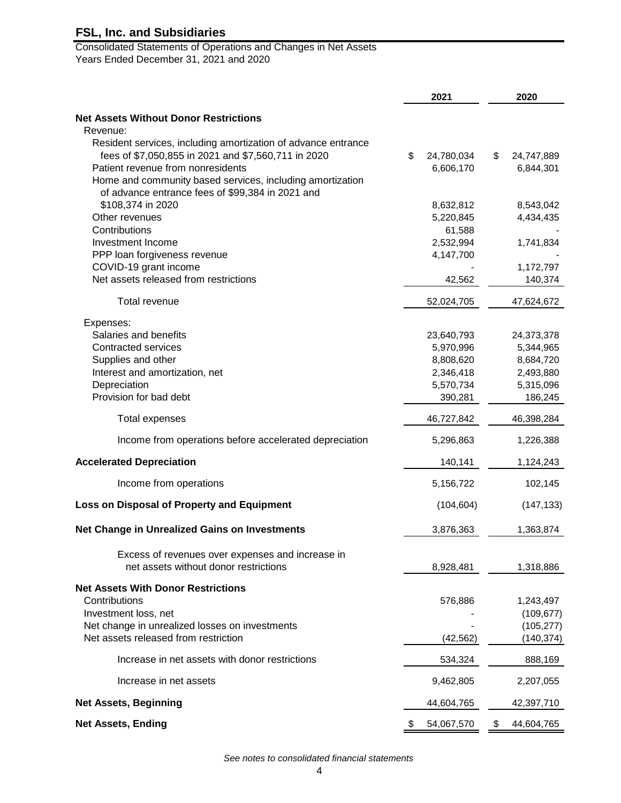Consolidated Statements of Operations and Changes in Net Assets Years Ended December 31, 2021 and 2020

|                                                                                                               | 2021             | 2020             |
|---------------------------------------------------------------------------------------------------------------|------------------|------------------|
| <b>Net Assets Without Donor Restrictions</b>                                                                  |                  |                  |
| Revenue:                                                                                                      |                  |                  |
| Resident services, including amortization of advance entrance                                                 |                  |                  |
| fees of \$7,050,855 in 2021 and \$7,560,711 in 2020                                                           | \$<br>24,780,034 | \$<br>24,747,889 |
| Patient revenue from nonresidents                                                                             | 6,606,170        | 6,844,301        |
| Home and community based services, including amortization<br>of advance entrance fees of \$99,384 in 2021 and |                  |                  |
| \$108,374 in 2020                                                                                             | 8,632,812        | 8,543,042        |
| Other revenues                                                                                                | 5,220,845        | 4,434,435        |
| Contributions                                                                                                 | 61,588           |                  |
| Investment Income                                                                                             | 2,532,994        | 1,741,834        |
| PPP loan forgiveness revenue                                                                                  | 4,147,700        |                  |
| COVID-19 grant income                                                                                         |                  | 1,172,797        |
| Net assets released from restrictions                                                                         | 42,562           | 140,374          |
| <b>Total revenue</b>                                                                                          | 52,024,705       | 47,624,672       |
|                                                                                                               |                  |                  |
| Expenses:<br>Salaries and benefits                                                                            |                  |                  |
|                                                                                                               | 23,640,793       | 24,373,378       |
| <b>Contracted services</b>                                                                                    | 5,970,996        | 5,344,965        |
| Supplies and other                                                                                            | 8,808,620        | 8,684,720        |
| Interest and amortization, net                                                                                | 2,346,418        | 2,493,880        |
| Depreciation                                                                                                  | 5,570,734        | 5,315,096        |
| Provision for bad debt                                                                                        | 390,281          | 186,245          |
| <b>Total expenses</b>                                                                                         | 46,727,842       | 46,398,284       |
| Income from operations before accelerated depreciation                                                        | 5,296,863        | 1,226,388        |
| <b>Accelerated Depreciation</b>                                                                               | 140,141          | 1,124,243        |
| Income from operations                                                                                        | 5,156,722        | 102,145          |
| Loss on Disposal of Property and Equipment                                                                    | (104, 604)       | (147, 133)       |
| Net Change in Unrealized Gains on Investments                                                                 | 3,876,363        | 1,363,874        |
| Excess of revenues over expenses and increase in                                                              |                  |                  |
| net assets without donor restrictions                                                                         | 8,928,481        | 1,318,886        |
| <b>Net Assets With Donor Restrictions</b>                                                                     |                  |                  |
| Contributions                                                                                                 | 576,886          | 1,243,497        |
| Investment loss, net                                                                                          |                  | (109, 677)       |
| Net change in unrealized losses on investments                                                                |                  | (105, 277)       |
| Net assets released from restriction                                                                          | (42, 562)        | (140, 374)       |
| Increase in net assets with donor restrictions                                                                | 534,324          | 888,169          |
| Increase in net assets                                                                                        | 9,462,805        | 2,207,055        |
| <b>Net Assets, Beginning</b>                                                                                  | 44,604,765       | 42,397,710       |
| <b>Net Assets, Ending</b>                                                                                     | \$<br>54,067,570 | \$<br>44,604,765 |

*See notes to consolidated financial statements*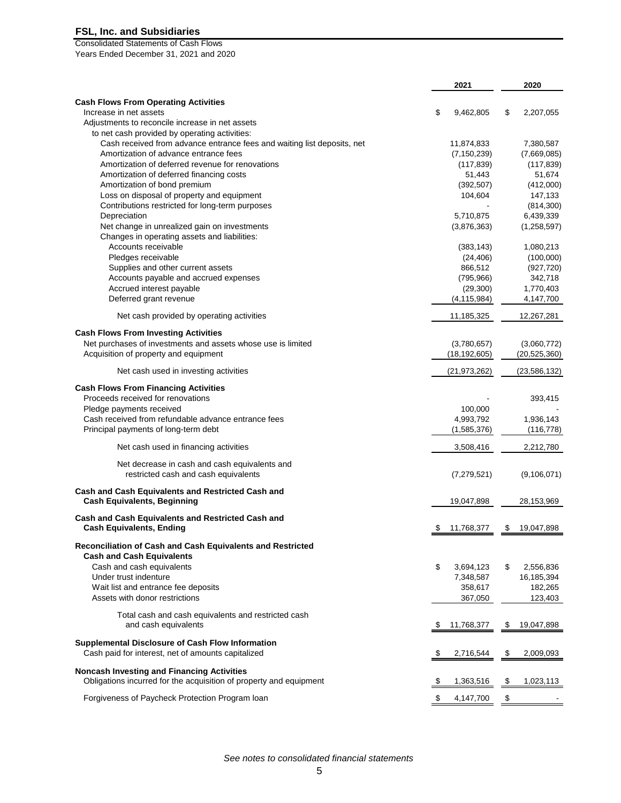Consolidated Statements of Cash Flows

Years Ended December 31, 2021 and 2020

|                                                                                                                         |    | 2021                 | 2020                    |
|-------------------------------------------------------------------------------------------------------------------------|----|----------------------|-------------------------|
| <b>Cash Flows From Operating Activities</b>                                                                             |    |                      |                         |
| Increase in net assets                                                                                                  | \$ | 9,462,805            | \$<br>2,207,055         |
| Adjustments to reconcile increase in net assets                                                                         |    |                      |                         |
| to net cash provided by operating activities:                                                                           |    |                      |                         |
| Cash received from advance entrance fees and waiting list deposits, net                                                 |    | 11,874,833           | 7,380,587               |
| Amortization of advance entrance fees                                                                                   |    | (7, 150, 239)        | (7,669,085)             |
| Amortization of deferred revenue for renovations                                                                        |    | (117, 839)           | (117, 839)              |
| Amortization of deferred financing costs                                                                                |    | 51,443               | 51,674                  |
| Amortization of bond premium                                                                                            |    | (392, 507)           | (412,000)               |
| Loss on disposal of property and equipment                                                                              |    | 104,604              | 147,133                 |
| Contributions restricted for long-term purposes                                                                         |    |                      | (814, 300)              |
| Depreciation                                                                                                            |    | 5,710,875            | 6,439,339               |
| Net change in unrealized gain on investments                                                                            |    | (3,876,363)          | (1,258,597)             |
| Changes in operating assets and liabilities:                                                                            |    |                      |                         |
| Accounts receivable                                                                                                     |    | (383, 143)           | 1,080,213               |
| Pledges receivable<br>Supplies and other current assets                                                                 |    | (24, 406)<br>866,512 | (100,000)<br>(927, 720) |
| Accounts payable and accrued expenses                                                                                   |    | (795, 966)           | 342,718                 |
| Accrued interest payable                                                                                                |    | (29, 300)            | 1,770,403               |
| Deferred grant revenue                                                                                                  |    | (4, 115, 984)        | 4,147,700               |
|                                                                                                                         |    |                      |                         |
| Net cash provided by operating activities                                                                               |    | 11,185,325           | 12,267,281              |
| <b>Cash Flows From Investing Activities</b>                                                                             |    |                      |                         |
| Net purchases of investments and assets whose use is limited                                                            |    | (3,780,657)          | (3,060,772)             |
| Acquisition of property and equipment                                                                                   |    | (18, 192, 605)       | (20, 525, 360)          |
|                                                                                                                         |    |                      |                         |
| Net cash used in investing activities                                                                                   |    | (21, 973, 262)       | (23, 586, 132)          |
| <b>Cash Flows From Financing Activities</b>                                                                             |    |                      |                         |
| Proceeds received for renovations                                                                                       |    |                      | 393,415                 |
| Pledge payments received                                                                                                |    | 100,000              |                         |
| Cash received from refundable advance entrance fees                                                                     |    | 4,993,792            | 1,936,143               |
| Principal payments of long-term debt                                                                                    |    | (1,585,376)          | (116, 778)              |
| Net cash used in financing activities                                                                                   |    | 3,508,416            | 2,212,780               |
| Net decrease in cash and cash equivalents and                                                                           |    |                      |                         |
| restricted cash and cash equivalents                                                                                    |    | (7, 279, 521)        | (9, 106, 071)           |
| Cash and Cash Equivalents and Restricted Cash and                                                                       |    |                      |                         |
| <b>Cash Equivalents, Beginning</b>                                                                                      |    | 19,047,898           | 28,153,969              |
|                                                                                                                         |    |                      |                         |
| Cash and Cash Equivalents and Restricted Cash and                                                                       |    |                      |                         |
| <b>Cash Equivalents, Ending</b>                                                                                         | \$ | 11,768,377           | \$<br>19,047,898        |
| Reconciliation of Cash and Cash Equivalents and Restricted                                                              |    |                      |                         |
| <b>Cash and Cash Equivalents</b>                                                                                        |    |                      |                         |
| Cash and cash equivalents                                                                                               | \$ | 3,694,123            | \$<br>2,556,836         |
| Under trust indenture                                                                                                   |    | 7,348,587            | 16,185,394              |
| Wait list and entrance fee deposits                                                                                     |    | 358,617              | 182,265                 |
| Assets with donor restrictions                                                                                          |    | 367,050              | 123,403                 |
|                                                                                                                         |    |                      |                         |
| Total cash and cash equivalents and restricted cash<br>and cash equivalents                                             |    | 11,768,377           | \$<br>19,047,898        |
|                                                                                                                         |    |                      |                         |
| Supplemental Disclosure of Cash Flow Information                                                                        |    |                      |                         |
| Cash paid for interest, net of amounts capitalized                                                                      | S  | 2,716,544            | \$<br>2,009,093         |
|                                                                                                                         |    |                      |                         |
| <b>Noncash Investing and Financing Activities</b><br>Obligations incurred for the acquisition of property and equipment | \$ | 1,363,516            | \$<br>1,023,113         |
|                                                                                                                         |    |                      |                         |
| Forgiveness of Paycheck Protection Program Ioan                                                                         | \$ | 4,147,700            | \$                      |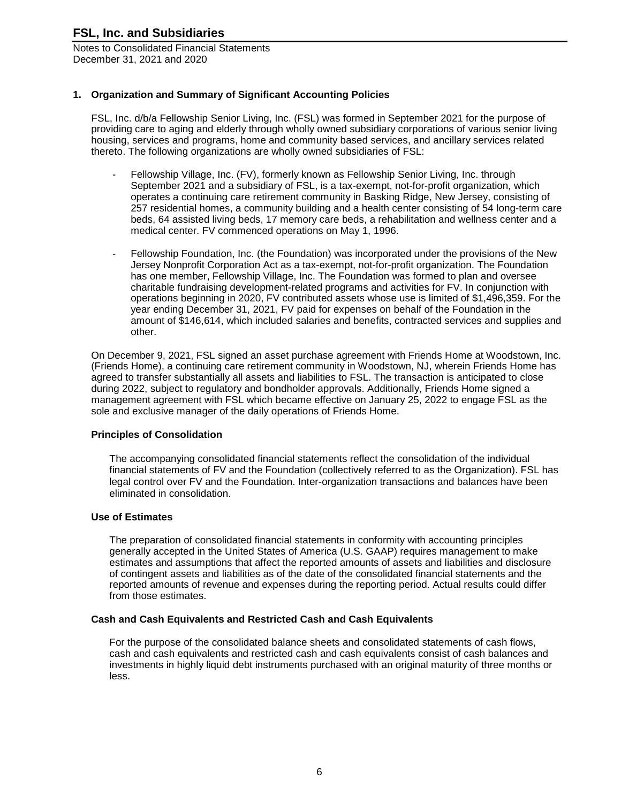Notes to Consolidated Financial Statements December 31, 2021 and 2020

#### **1. Organization and Summary of Significant Accounting Policies**

FSL, Inc. d/b/a Fellowship Senior Living, Inc. (FSL) was formed in September 2021 for the purpose of providing care to aging and elderly through wholly owned subsidiary corporations of various senior living housing, services and programs, home and community based services, and ancillary services related thereto. The following organizations are wholly owned subsidiaries of FSL:

- Fellowship Village, Inc. (FV), formerly known as Fellowship Senior Living, Inc. through September 2021 and a subsidiary of FSL, is a tax-exempt, not-for-profit organization, which operates a continuing care retirement community in Basking Ridge, New Jersey, consisting of 257 residential homes, a community building and a health center consisting of 54 long-term care beds, 64 assisted living beds, 17 memory care beds, a rehabilitation and wellness center and a medical center. FV commenced operations on May 1, 1996.
- Fellowship Foundation, Inc. (the Foundation) was incorporated under the provisions of the New Jersey Nonprofit Corporation Act as a tax-exempt, not-for-profit organization. The Foundation has one member, Fellowship Village, Inc. The Foundation was formed to plan and oversee charitable fundraising development-related programs and activities for FV. In conjunction with operations beginning in 2020, FV contributed assets whose use is limited of \$1,496,359. For the year ending December 31, 2021, FV paid for expenses on behalf of the Foundation in the amount of \$146,614, which included salaries and benefits, contracted services and supplies and other.

On December 9, 2021, FSL signed an asset purchase agreement with Friends Home at Woodstown, Inc. (Friends Home), a continuing care retirement community in Woodstown, NJ, wherein Friends Home has agreed to transfer substantially all assets and liabilities to FSL. The transaction is anticipated to close during 2022, subject to regulatory and bondholder approvals. Additionally, Friends Home signed a management agreement with FSL which became effective on January 25, 2022 to engage FSL as the sole and exclusive manager of the daily operations of Friends Home.

#### **Principles of Consolidation**

The accompanying consolidated financial statements reflect the consolidation of the individual financial statements of FV and the Foundation (collectively referred to as the Organization). FSL has legal control over FV and the Foundation. Inter-organization transactions and balances have been eliminated in consolidation.

#### **Use of Estimates**

The preparation of consolidated financial statements in conformity with accounting principles generally accepted in the United States of America (U.S. GAAP) requires management to make estimates and assumptions that affect the reported amounts of assets and liabilities and disclosure of contingent assets and liabilities as of the date of the consolidated financial statements and the reported amounts of revenue and expenses during the reporting period. Actual results could differ from those estimates.

#### **Cash and Cash Equivalents and Restricted Cash and Cash Equivalents**

For the purpose of the consolidated balance sheets and consolidated statements of cash flows, cash and cash equivalents and restricted cash and cash equivalents consist of cash balances and investments in highly liquid debt instruments purchased with an original maturity of three months or less.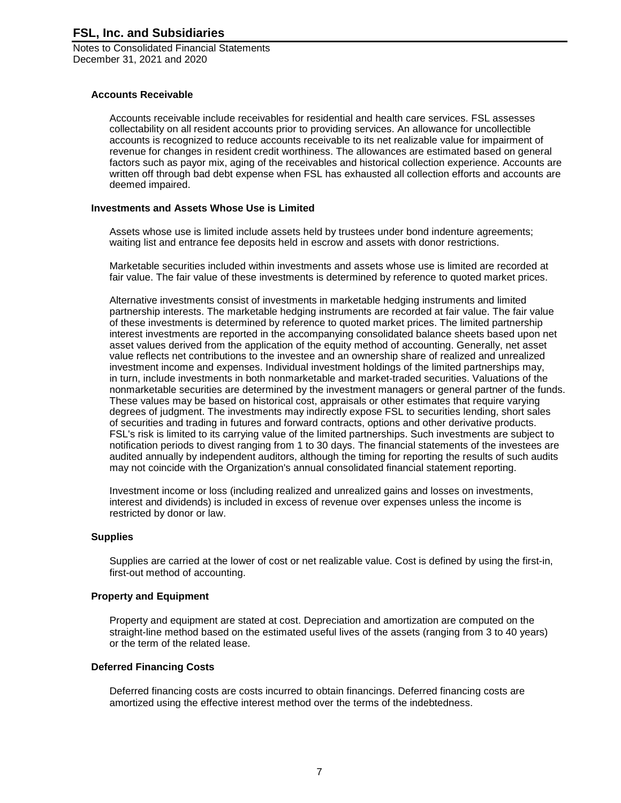Notes to Consolidated Financial Statements December 31, 2021 and 2020

#### **Accounts Receivable**

Accounts receivable include receivables for residential and health care services. FSL assesses collectability on all resident accounts prior to providing services. An allowance for uncollectible accounts is recognized to reduce accounts receivable to its net realizable value for impairment of revenue for changes in resident credit worthiness. The allowances are estimated based on general factors such as payor mix, aging of the receivables and historical collection experience. Accounts are written off through bad debt expense when FSL has exhausted all collection efforts and accounts are deemed impaired.

#### **Investments and Assets Whose Use is Limited**

Assets whose use is limited include assets held by trustees under bond indenture agreements; waiting list and entrance fee deposits held in escrow and assets with donor restrictions.

Marketable securities included within investments and assets whose use is limited are recorded at fair value. The fair value of these investments is determined by reference to quoted market prices.

Alternative investments consist of investments in marketable hedging instruments and limited partnership interests. The marketable hedging instruments are recorded at fair value. The fair value of these investments is determined by reference to quoted market prices. The limited partnership interest investments are reported in the accompanying consolidated balance sheets based upon net asset values derived from the application of the equity method of accounting. Generally, net asset value reflects net contributions to the investee and an ownership share of realized and unrealized investment income and expenses. Individual investment holdings of the limited partnerships may, in turn, include investments in both nonmarketable and market-traded securities. Valuations of the nonmarketable securities are determined by the investment managers or general partner of the funds. These values may be based on historical cost, appraisals or other estimates that require varying degrees of judgment. The investments may indirectly expose FSL to securities lending, short sales of securities and trading in futures and forward contracts, options and other derivative products. FSL's risk is limited to its carrying value of the limited partnerships. Such investments are subject to notification periods to divest ranging from 1 to 30 days. The financial statements of the investees are audited annually by independent auditors, although the timing for reporting the results of such audits may not coincide with the Organization's annual consolidated financial statement reporting.

Investment income or loss (including realized and unrealized gains and losses on investments, interest and dividends) is included in excess of revenue over expenses unless the income is restricted by donor or law.

#### **Supplies**

Supplies are carried at the lower of cost or net realizable value. Cost is defined by using the first-in, first-out method of accounting.

#### **Property and Equipment**

Property and equipment are stated at cost. Depreciation and amortization are computed on the straight-line method based on the estimated useful lives of the assets (ranging from 3 to 40 years) or the term of the related lease.

#### **Deferred Financing Costs**

Deferred financing costs are costs incurred to obtain financings. Deferred financing costs are amortized using the effective interest method over the terms of the indebtedness.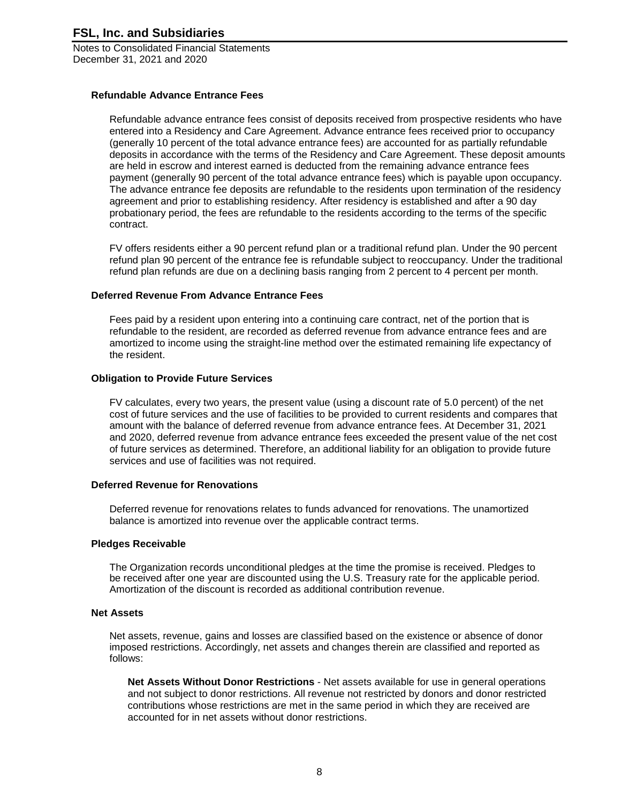Notes to Consolidated Financial Statements December 31, 2021 and 2020

#### **Refundable Advance Entrance Fees**

Refundable advance entrance fees consist of deposits received from prospective residents who have entered into a Residency and Care Agreement. Advance entrance fees received prior to occupancy (generally 10 percent of the total advance entrance fees) are accounted for as partially refundable deposits in accordance with the terms of the Residency and Care Agreement. These deposit amounts are held in escrow and interest earned is deducted from the remaining advance entrance fees payment (generally 90 percent of the total advance entrance fees) which is payable upon occupancy. The advance entrance fee deposits are refundable to the residents upon termination of the residency agreement and prior to establishing residency. After residency is established and after a 90 day probationary period, the fees are refundable to the residents according to the terms of the specific contract.

FV offers residents either a 90 percent refund plan or a traditional refund plan. Under the 90 percent refund plan 90 percent of the entrance fee is refundable subject to reoccupancy. Under the traditional refund plan refunds are due on a declining basis ranging from 2 percent to 4 percent per month.

#### **Deferred Revenue From Advance Entrance Fees**

Fees paid by a resident upon entering into a continuing care contract, net of the portion that is refundable to the resident, are recorded as deferred revenue from advance entrance fees and are amortized to income using the straight-line method over the estimated remaining life expectancy of the resident.

#### **Obligation to Provide Future Services**

FV calculates, every two years, the present value (using a discount rate of 5.0 percent) of the net cost of future services and the use of facilities to be provided to current residents and compares that amount with the balance of deferred revenue from advance entrance fees. At December 31, 2021 and 2020, deferred revenue from advance entrance fees exceeded the present value of the net cost of future services as determined. Therefore, an additional liability for an obligation to provide future services and use of facilities was not required.

#### **Deferred Revenue for Renovations**

Deferred revenue for renovations relates to funds advanced for renovations. The unamortized balance is amortized into revenue over the applicable contract terms.

#### **Pledges Receivable**

The Organization records unconditional pledges at the time the promise is received. Pledges to be received after one year are discounted using the U.S. Treasury rate for the applicable period. Amortization of the discount is recorded as additional contribution revenue.

#### **Net Assets**

Net assets, revenue, gains and losses are classified based on the existence or absence of donor imposed restrictions. Accordingly, net assets and changes therein are classified and reported as follows:

**Net Assets Without Donor Restrictions** - Net assets available for use in general operations and not subject to donor restrictions. All revenue not restricted by donors and donor restricted contributions whose restrictions are met in the same period in which they are received are accounted for in net assets without donor restrictions.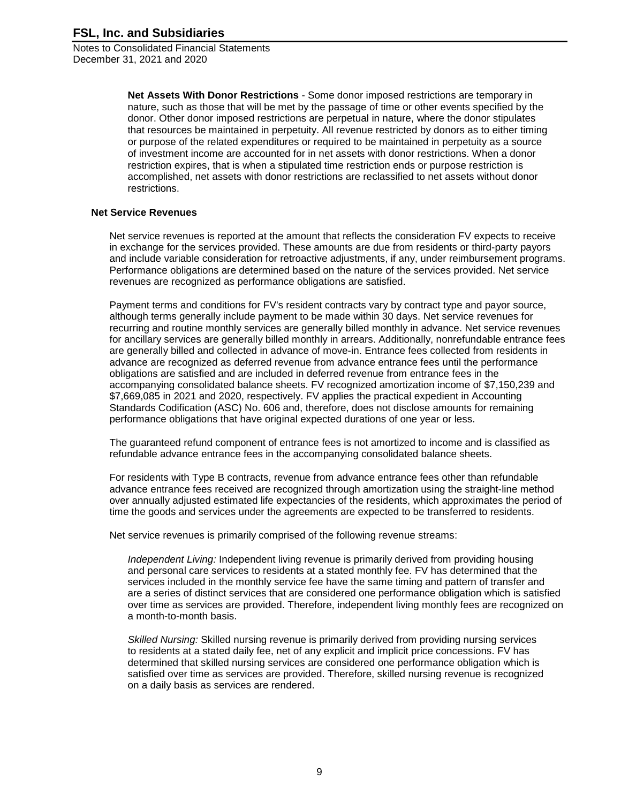Notes to Consolidated Financial Statements December 31, 2021 and 2020

> **Net Assets With Donor Restrictions** - Some donor imposed restrictions are temporary in nature, such as those that will be met by the passage of time or other events specified by the donor. Other donor imposed restrictions are perpetual in nature, where the donor stipulates that resources be maintained in perpetuity. All revenue restricted by donors as to either timing or purpose of the related expenditures or required to be maintained in perpetuity as a source of investment income are accounted for in net assets with donor restrictions. When a donor restriction expires, that is when a stipulated time restriction ends or purpose restriction is accomplished, net assets with donor restrictions are reclassified to net assets without donor restrictions.

#### **Net Service Revenues**

Net service revenues is reported at the amount that reflects the consideration FV expects to receive in exchange for the services provided. These amounts are due from residents or third-party payors and include variable consideration for retroactive adjustments, if any, under reimbursement programs. Performance obligations are determined based on the nature of the services provided. Net service revenues are recognized as performance obligations are satisfied.

Payment terms and conditions for FV's resident contracts vary by contract type and payor source, although terms generally include payment to be made within 30 days. Net service revenues for recurring and routine monthly services are generally billed monthly in advance. Net service revenues for ancillary services are generally billed monthly in arrears. Additionally, nonrefundable entrance fees are generally billed and collected in advance of move-in. Entrance fees collected from residents in advance are recognized as deferred revenue from advance entrance fees until the performance obligations are satisfied and are included in deferred revenue from entrance fees in the accompanying consolidated balance sheets. FV recognized amortization income of \$7,150,239 and \$7,669,085 in 2021 and 2020, respectively. FV applies the practical expedient in Accounting Standards Codification (ASC) No. 606 and, therefore, does not disclose amounts for remaining performance obligations that have original expected durations of one year or less.

The guaranteed refund component of entrance fees is not amortized to income and is classified as refundable advance entrance fees in the accompanying consolidated balance sheets.

For residents with Type B contracts, revenue from advance entrance fees other than refundable advance entrance fees received are recognized through amortization using the straight-line method over annually adjusted estimated life expectancies of the residents, which approximates the period of time the goods and services under the agreements are expected to be transferred to residents.

Net service revenues is primarily comprised of the following revenue streams:

*Independent Living:* Independent living revenue is primarily derived from providing housing and personal care services to residents at a stated monthly fee. FV has determined that the services included in the monthly service fee have the same timing and pattern of transfer and are a series of distinct services that are considered one performance obligation which is satisfied over time as services are provided. Therefore, independent living monthly fees are recognized on a month-to-month basis.

*Skilled Nursing:* Skilled nursing revenue is primarily derived from providing nursing services to residents at a stated daily fee, net of any explicit and implicit price concessions. FV has determined that skilled nursing services are considered one performance obligation which is satisfied over time as services are provided. Therefore, skilled nursing revenue is recognized on a daily basis as services are rendered.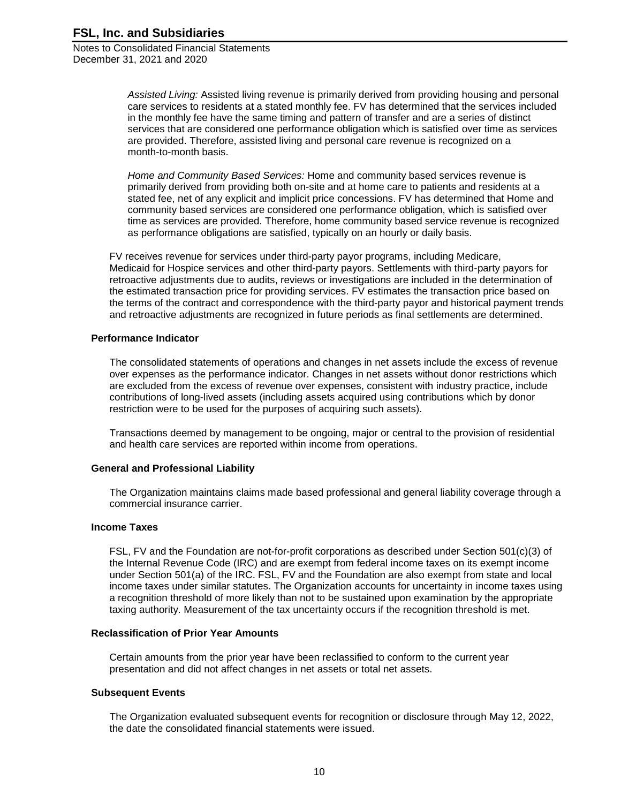Notes to Consolidated Financial Statements December 31, 2021 and 2020

> *Assisted Living:* Assisted living revenue is primarily derived from providing housing and personal care services to residents at a stated monthly fee. FV has determined that the services included in the monthly fee have the same timing and pattern of transfer and are a series of distinct services that are considered one performance obligation which is satisfied over time as services are provided. Therefore, assisted living and personal care revenue is recognized on a month-to-month basis.

> *Home and Community Based Services:* Home and community based services revenue is primarily derived from providing both on-site and at home care to patients and residents at a stated fee, net of any explicit and implicit price concessions. FV has determined that Home and community based services are considered one performance obligation, which is satisfied over time as services are provided. Therefore, home community based service revenue is recognized as performance obligations are satisfied, typically on an hourly or daily basis.

FV receives revenue for services under third-party payor programs, including Medicare, Medicaid for Hospice services and other third-party payors. Settlements with third-party payors for retroactive adjustments due to audits, reviews or investigations are included in the determination of the estimated transaction price for providing services. FV estimates the transaction price based on the terms of the contract and correspondence with the third-party payor and historical payment trends and retroactive adjustments are recognized in future periods as final settlements are determined.

#### **Performance Indicator**

The consolidated statements of operations and changes in net assets include the excess of revenue over expenses as the performance indicator. Changes in net assets without donor restrictions which are excluded from the excess of revenue over expenses, consistent with industry practice, include contributions of long-lived assets (including assets acquired using contributions which by donor restriction were to be used for the purposes of acquiring such assets).

Transactions deemed by management to be ongoing, major or central to the provision of residential and health care services are reported within income from operations.

#### **General and Professional Liability**

The Organization maintains claims made based professional and general liability coverage through a commercial insurance carrier.

#### **Income Taxes**

FSL, FV and the Foundation are not-for-profit corporations as described under Section 501(c)(3) of the Internal Revenue Code (IRC) and are exempt from federal income taxes on its exempt income under Section 501(a) of the IRC. FSL, FV and the Foundation are also exempt from state and local income taxes under similar statutes. The Organization accounts for uncertainty in income taxes using a recognition threshold of more likely than not to be sustained upon examination by the appropriate taxing authority. Measurement of the tax uncertainty occurs if the recognition threshold is met.

#### **Reclassification of Prior Year Amounts**

Certain amounts from the prior year have been reclassified to conform to the current year presentation and did not affect changes in net assets or total net assets.

#### **Subsequent Events**

The Organization evaluated subsequent events for recognition or disclosure through May 12, 2022, the date the consolidated financial statements were issued.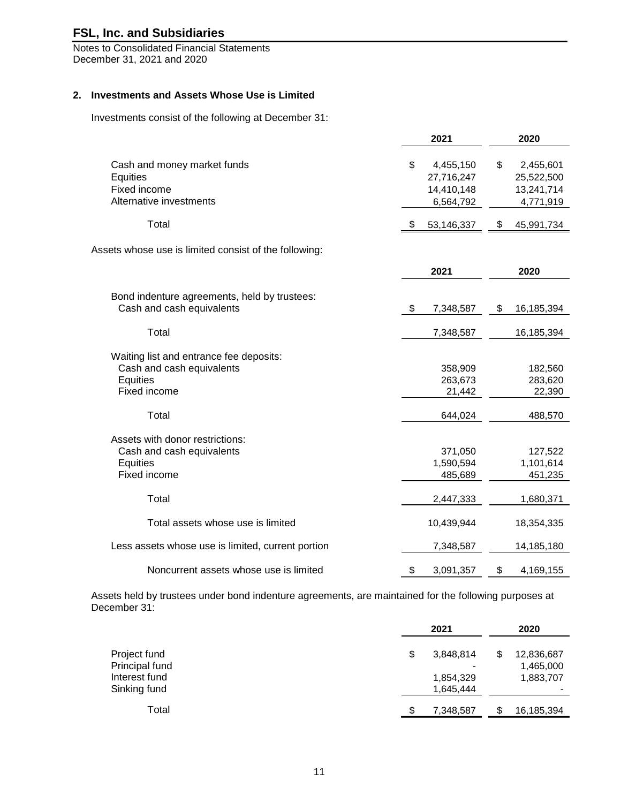Notes to Consolidated Financial Statements December 31, 2021 and 2020

#### **2. Investments and Assets Whose Use is Limited**

Investments consist of the following at December 31:

|                                                       | 2021             | 2020             |
|-------------------------------------------------------|------------------|------------------|
|                                                       |                  |                  |
| Cash and money market funds                           | \$<br>4,455,150  | \$<br>2,455,601  |
| Equities                                              | 27,716,247       | 25,522,500       |
| Fixed income                                          | 14,410,148       | 13,241,714       |
| Alternative investments                               | 6,564,792        | 4,771,919        |
| Total                                                 | \$<br>53,146,337 | \$<br>45,991,734 |
| Assets whose use is limited consist of the following: |                  |                  |
|                                                       | 2021             | 2020             |
| Bond indenture agreements, held by trustees:          |                  |                  |
| Cash and cash equivalents                             | \$<br>7,348,587  | \$<br>16,185,394 |
| Total                                                 | 7,348,587        | 16,185,394       |
|                                                       |                  |                  |
| Waiting list and entrance fee deposits:               |                  |                  |
| Cash and cash equivalents                             | 358,909          | 182,560          |
| Equities<br>Fixed income                              | 263,673          | 283,620          |
|                                                       | 21,442           | 22,390           |
| Total                                                 | 644,024          | 488,570          |
| Assets with donor restrictions:                       |                  |                  |
| Cash and cash equivalents                             | 371,050          | 127,522          |
| Equities                                              | 1,590,594        | 1,101,614        |
| Fixed income                                          | 485,689          | 451,235          |
| Total                                                 | 2,447,333        | 1,680,371        |
| Total assets whose use is limited                     | 10,439,944       | 18,354,335       |
| Less assets whose use is limited, current portion     | 7,348,587        | 14,185,180       |
| Noncurrent assets whose use is limited                | \$<br>3,091,357  | \$<br>4,169,155  |

Assets held by trustees under bond indenture agreements, are maintained for the following purposes at December 31:

|                |   | 2021                     |   |            |  |
|----------------|---|--------------------------|---|------------|--|
| Project fund   | S | 3,848,814                | S | 12,836,687 |  |
| Principal fund |   | $\overline{\phantom{0}}$ |   | 1,465,000  |  |
| Interest fund  |   | 1,854,329                |   | 1,883,707  |  |
| Sinking fund   |   | 1,645,444                |   | -          |  |
| Total          | S | 7,348,587                |   | 16,185,394 |  |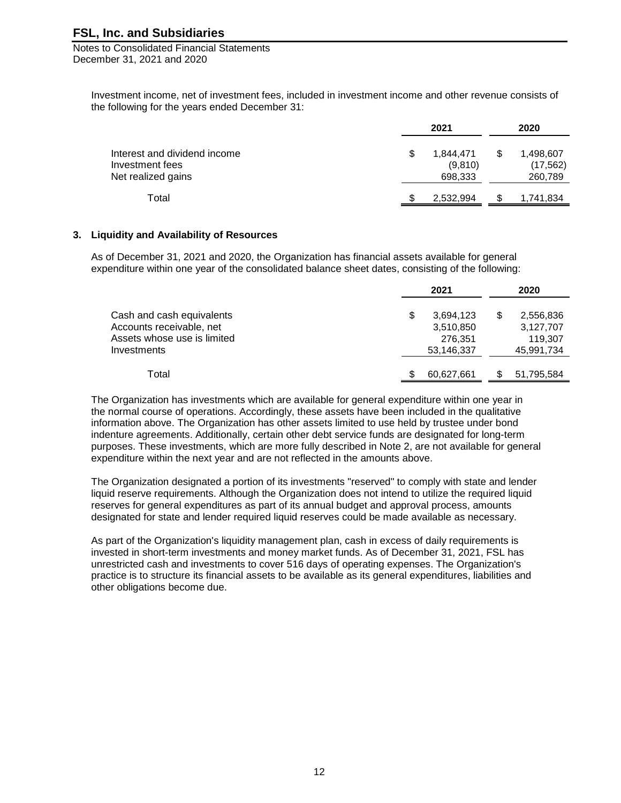Notes to Consolidated Financial Statements December 31, 2021 and 2020

Investment income, net of investment fees, included in investment income and other revenue consists of the following for the years ended December 31:

|                                                                       | 2021 |                                 |   | 2020                              |  |  |
|-----------------------------------------------------------------------|------|---------------------------------|---|-----------------------------------|--|--|
| Interest and dividend income<br>Investment fees<br>Net realized gains |      | 1.844.471<br>(9,810)<br>698,333 | S | 1,498,607<br>(17, 562)<br>260,789 |  |  |
| Total                                                                 |      | 2,532,994                       | S | 1,741,834                         |  |  |

#### **3. Liquidity and Availability of Resources**

As of December 31, 2021 and 2020, the Organization has financial assets available for general expenditure within one year of the consolidated balance sheet dates, consisting of the following:

|                             | 2021 |            |    | 2020       |  |  |
|-----------------------------|------|------------|----|------------|--|--|
| Cash and cash equivalents   |      | 3,694,123  | \$ | 2,556,836  |  |  |
| Accounts receivable, net    |      | 3,510,850  |    | 3,127,707  |  |  |
| Assets whose use is limited |      | 276,351    |    | 119.307    |  |  |
| Investments                 |      | 53,146,337 |    | 45,991,734 |  |  |
| Total                       |      | 60,627,661 |    | 51,795,584 |  |  |

The Organization has investments which are available for general expenditure within one year in the normal course of operations. Accordingly, these assets have been included in the qualitative information above. The Organization has other assets limited to use held by trustee under bond indenture agreements. Additionally, certain other debt service funds are designated for long-term purposes. These investments, which are more fully described in Note 2, are not available for general expenditure within the next year and are not reflected in the amounts above.

The Organization designated a portion of its investments "reserved" to comply with state and lender liquid reserve requirements. Although the Organization does not intend to utilize the required liquid reserves for general expenditures as part of its annual budget and approval process, amounts designated for state and lender required liquid reserves could be made available as necessary.

As part of the Organization's liquidity management plan, cash in excess of daily requirements is invested in short-term investments and money market funds. As of December 31, 2021, FSL has unrestricted cash and investments to cover 516 days of operating expenses. The Organization's practice is to structure its financial assets to be available as its general expenditures, liabilities and other obligations become due.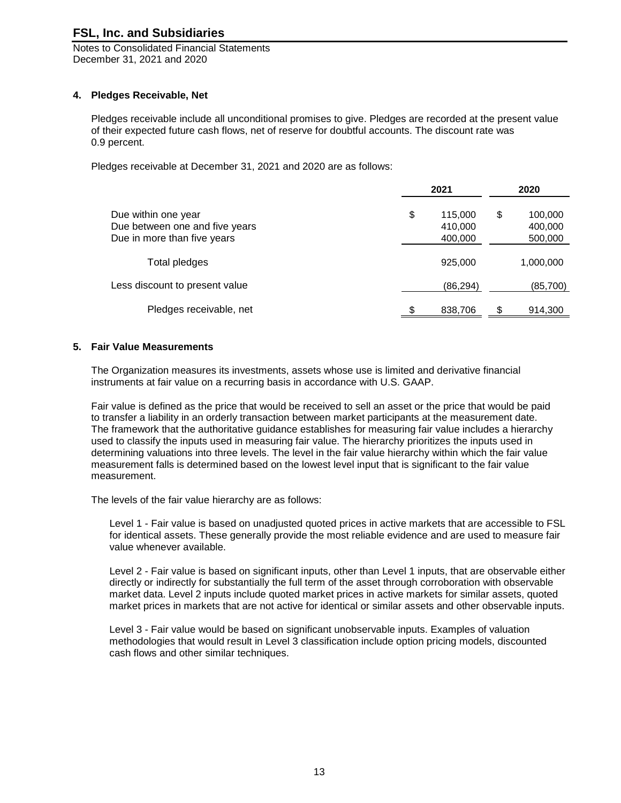Notes to Consolidated Financial Statements December 31, 2021 and 2020

#### **4. Pledges Receivable, Net**

Pledges receivable include all unconditional promises to give. Pledges are recorded at the present value of their expected future cash flows, net of reserve for doubtful accounts. The discount rate was 0.9 percent.

Pledges receivable at December 31, 2021 and 2020 are as follows:

|                                                                                      | 2021 |                               |    | 2020                          |  |  |
|--------------------------------------------------------------------------------------|------|-------------------------------|----|-------------------------------|--|--|
| Due within one year<br>Due between one and five years<br>Due in more than five years | \$   | 115,000<br>410,000<br>400,000 | \$ | 100,000<br>400,000<br>500,000 |  |  |
| Total pledges                                                                        |      | 925,000                       |    | 1,000,000                     |  |  |
| Less discount to present value                                                       |      | (86, 294)                     |    | (85,700)                      |  |  |
| Pledges receivable, net                                                              |      | 838,706                       |    | 914,300                       |  |  |

#### **5. Fair Value Measurements**

The Organization measures its investments, assets whose use is limited and derivative financial instruments at fair value on a recurring basis in accordance with U.S. GAAP.

Fair value is defined as the price that would be received to sell an asset or the price that would be paid to transfer a liability in an orderly transaction between market participants at the measurement date. The framework that the authoritative guidance establishes for measuring fair value includes a hierarchy used to classify the inputs used in measuring fair value. The hierarchy prioritizes the inputs used in determining valuations into three levels. The level in the fair value hierarchy within which the fair value measurement falls is determined based on the lowest level input that is significant to the fair value measurement.

The levels of the fair value hierarchy are as follows:

Level 1 - Fair value is based on unadjusted quoted prices in active markets that are accessible to FSL for identical assets. These generally provide the most reliable evidence and are used to measure fair value whenever available.

Level 2 - Fair value is based on significant inputs, other than Level 1 inputs, that are observable either directly or indirectly for substantially the full term of the asset through corroboration with observable market data. Level 2 inputs include quoted market prices in active markets for similar assets, quoted market prices in markets that are not active for identical or similar assets and other observable inputs.

Level 3 - Fair value would be based on significant unobservable inputs. Examples of valuation methodologies that would result in Level 3 classification include option pricing models, discounted cash flows and other similar techniques.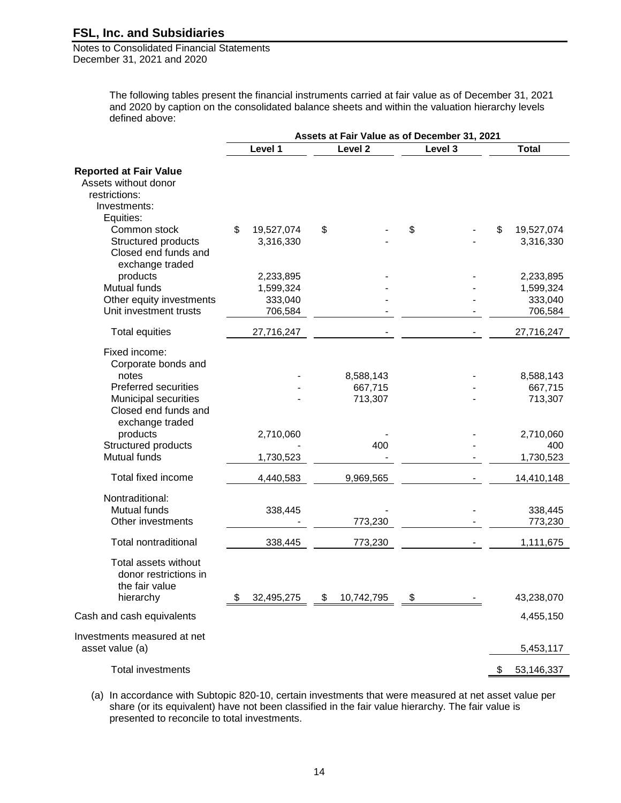Notes to Consolidated Financial Statements December 31, 2021 and 2020

> The following tables present the financial instruments carried at fair value as of December 31, 2021 and 2020 by caption on the consolidated balance sheets and within the valuation hierarchy levels defined above:

|                                                                                                                                                                                    | Assets at Fair Value as of December 31, 2021 |                                              |    |                                        |         |  |    |                                                     |
|------------------------------------------------------------------------------------------------------------------------------------------------------------------------------------|----------------------------------------------|----------------------------------------------|----|----------------------------------------|---------|--|----|-----------------------------------------------------|
|                                                                                                                                                                                    |                                              | Level 1                                      |    | Level <sub>2</sub>                     | Level 3 |  |    | <b>Total</b>                                        |
| <b>Reported at Fair Value</b><br>Assets without donor<br>restrictions:<br>Investments:                                                                                             |                                              |                                              |    |                                        |         |  |    |                                                     |
| Equities:<br>Common stock<br>Structured products<br>Closed end funds and                                                                                                           | \$                                           | 19,527,074<br>3,316,330                      | \$ |                                        | \$      |  | \$ | 19,527,074<br>3,316,330                             |
| exchange traded<br>products<br>Mutual funds<br>Other equity investments<br>Unit investment trusts                                                                                  |                                              | 2,233,895<br>1,599,324<br>333,040<br>706,584 |    |                                        |         |  |    | 2,233,895<br>1,599,324<br>333,040<br>706,584        |
| <b>Total equities</b>                                                                                                                                                              |                                              | 27,716,247                                   |    |                                        |         |  |    | 27,716,247                                          |
| Fixed income:<br>Corporate bonds and<br>notes<br><b>Preferred securities</b><br>Municipal securities<br>Closed end funds and<br>exchange traded<br>products<br>Structured products |                                              | 2,710,060                                    |    | 8,588,143<br>667,715<br>713,307<br>400 |         |  |    | 8,588,143<br>667,715<br>713,307<br>2,710,060<br>400 |
| Mutual funds                                                                                                                                                                       |                                              | 1,730,523                                    |    |                                        |         |  |    | 1,730,523                                           |
| Total fixed income                                                                                                                                                                 |                                              | 4,440,583                                    |    | 9,969,565                              |         |  |    | 14,410,148                                          |
| Nontraditional:<br>Mutual funds<br>Other investments                                                                                                                               |                                              | 338,445                                      |    | 773,230                                |         |  |    | 338,445<br>773,230                                  |
| <b>Total nontraditional</b>                                                                                                                                                        |                                              | 338,445                                      |    | 773,230                                |         |  |    | 1,111,675                                           |
| Total assets without<br>donor restrictions in<br>the fair value<br>hierarchy                                                                                                       | \$                                           | 32,495,275                                   | \$ | 10,742,795                             | \$      |  |    | 43,238,070                                          |
| Cash and cash equivalents                                                                                                                                                          |                                              |                                              |    |                                        |         |  |    | 4,455,150                                           |
| Investments measured at net<br>asset value (a)                                                                                                                                     |                                              |                                              |    |                                        |         |  |    | 5,453,117                                           |
| <b>Total investments</b>                                                                                                                                                           |                                              |                                              |    |                                        |         |  | \$ | 53,146,337                                          |

(a) In accordance with Subtopic 820-10, certain investments that were measured at net asset value per share (or its equivalent) have not been classified in the fair value hierarchy. The fair value is presented to reconcile to total investments.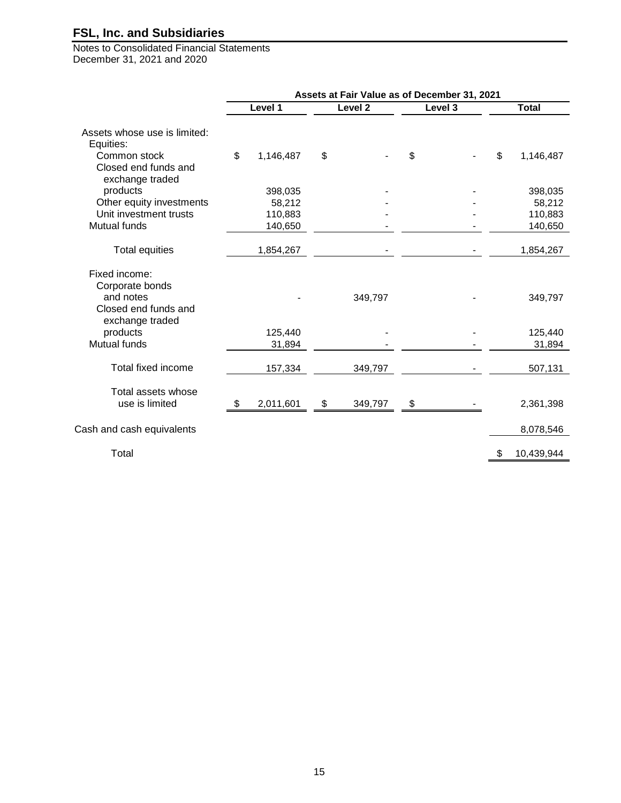Notes to Consolidated Financial Statements December 31, 2021 and 2020

|                                                                                          | Assets at Fair Value as of December 31, 2021 |           |                    |         |         |  |    |              |
|------------------------------------------------------------------------------------------|----------------------------------------------|-----------|--------------------|---------|---------|--|----|--------------|
|                                                                                          |                                              | Level 1   | Level <sub>2</sub> |         | Level 3 |  |    | <b>Total</b> |
| Assets whose use is limited:<br>Equities:                                                |                                              |           |                    |         |         |  |    |              |
| Common stock<br>Closed end funds and<br>exchange traded                                  | \$                                           | 1,146,487 | \$                 |         | \$      |  | \$ | 1,146,487    |
| products                                                                                 |                                              | 398,035   |                    |         |         |  |    | 398,035      |
| Other equity investments                                                                 |                                              | 58,212    |                    |         |         |  |    | 58,212       |
| Unit investment trusts                                                                   |                                              | 110,883   |                    |         |         |  |    | 110,883      |
| Mutual funds                                                                             |                                              | 140,650   |                    |         |         |  |    | 140,650      |
| <b>Total equities</b>                                                                    |                                              | 1,854,267 |                    |         |         |  |    | 1,854,267    |
| Fixed income:<br>Corporate bonds<br>and notes<br>Closed end funds and<br>exchange traded |                                              |           |                    | 349,797 |         |  |    | 349,797      |
| products                                                                                 |                                              | 125,440   |                    |         |         |  |    | 125,440      |
| Mutual funds                                                                             |                                              | 31,894    |                    |         |         |  |    | 31,894       |
| <b>Total fixed income</b>                                                                |                                              | 157,334   |                    | 349,797 |         |  |    | 507,131      |
| Total assets whose<br>use is limited                                                     | \$                                           | 2,011,601 | \$                 | 349,797 | \$      |  |    | 2,361,398    |
| Cash and cash equivalents                                                                |                                              |           |                    |         |         |  |    | 8,078,546    |
| Total                                                                                    |                                              |           |                    |         |         |  | \$ | 10,439,944   |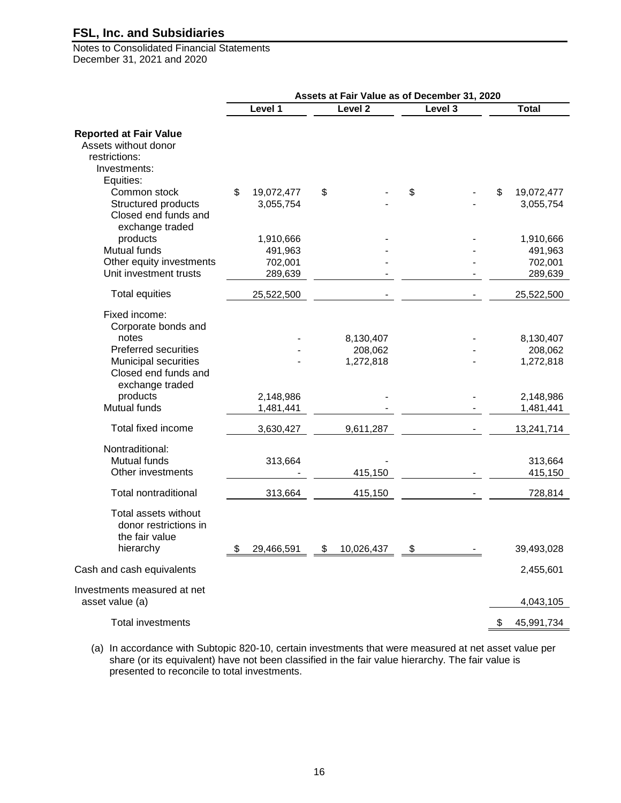Notes to Consolidated Financial Statements December 31, 2021 and 2020

|                                                                                                                                                                                    | Assets at Fair Value as of December 31, 2020 |                                            |    |                                   |    |         |    |                                                             |
|------------------------------------------------------------------------------------------------------------------------------------------------------------------------------------|----------------------------------------------|--------------------------------------------|----|-----------------------------------|----|---------|----|-------------------------------------------------------------|
|                                                                                                                                                                                    |                                              | Level 1                                    |    | Level <sub>2</sub>                |    | Level 3 |    | <b>Total</b>                                                |
| <b>Reported at Fair Value</b><br>Assets without donor<br>restrictions:<br>Investments:                                                                                             |                                              |                                            |    |                                   |    |         |    |                                                             |
| Equities:<br>Common stock<br>Structured products<br>Closed end funds and<br>exchange traded                                                                                        | \$                                           | 19,072,477<br>3,055,754                    | \$ |                                   | \$ |         | \$ | 19,072,477<br>3,055,754                                     |
| products<br>Mutual funds<br>Other equity investments<br>Unit investment trusts                                                                                                     |                                              | 1,910,666<br>491,963<br>702,001<br>289,639 |    |                                   |    |         |    | 1,910,666<br>491,963<br>702,001<br>289,639                  |
| <b>Total equities</b>                                                                                                                                                              |                                              | 25,522,500                                 |    |                                   |    |         |    | 25,522,500                                                  |
| Fixed income:<br>Corporate bonds and<br>notes<br><b>Preferred securities</b><br><b>Municipal securities</b><br>Closed end funds and<br>exchange traded<br>products<br>Mutual funds |                                              | 2,148,986<br>1,481,441                     |    | 8,130,407<br>208,062<br>1,272,818 |    |         |    | 8,130,407<br>208,062<br>1,272,818<br>2,148,986<br>1,481,441 |
| Total fixed income                                                                                                                                                                 |                                              | 3,630,427                                  |    | 9,611,287                         |    |         |    | 13,241,714                                                  |
| Nontraditional:<br>Mutual funds<br>Other investments                                                                                                                               |                                              | 313,664                                    |    | 415,150                           |    |         |    | 313,664<br>415,150                                          |
| <b>Total nontraditional</b>                                                                                                                                                        |                                              | 313,664                                    |    | 415,150                           |    |         |    | 728,814                                                     |
| Total assets without<br>donor restrictions in<br>the fair value<br>hierarchy                                                                                                       | \$                                           | 29,466,591                                 | \$ | 10,026,437                        | \$ |         |    | 39,493,028                                                  |
| Cash and cash equivalents                                                                                                                                                          |                                              |                                            |    |                                   |    |         |    | 2,455,601                                                   |
| Investments measured at net<br>asset value (a)                                                                                                                                     |                                              |                                            |    |                                   |    |         |    | 4,043,105                                                   |
| <b>Total investments</b>                                                                                                                                                           |                                              |                                            |    |                                   |    |         | \$ | 45,991,734                                                  |

(a) In accordance with Subtopic 820-10, certain investments that were measured at net asset value per share (or its equivalent) have not been classified in the fair value hierarchy. The fair value is presented to reconcile to total investments.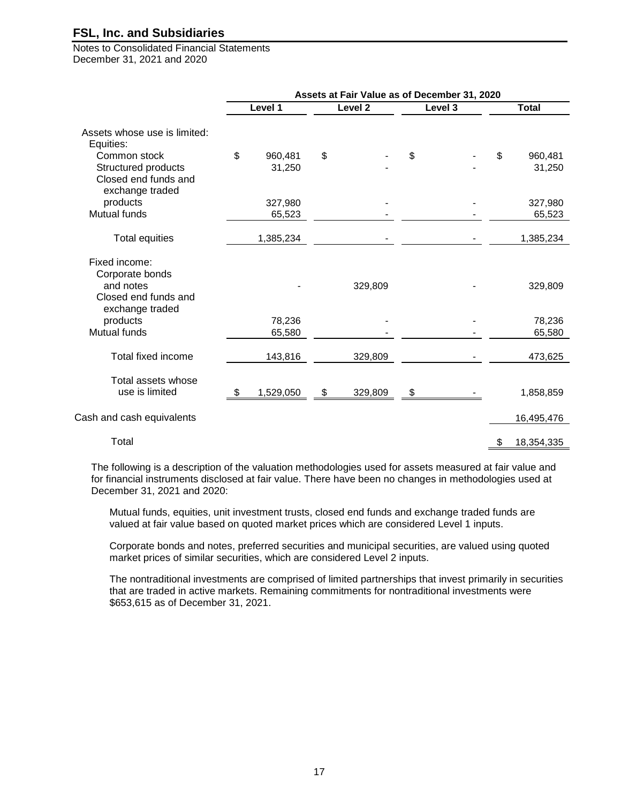Notes to Consolidated Financial Statements December 31, 2021 and 2020

|                                                                                          | Assets at Fair Value as of December 31, 2020 |                   |    |                    |         |  |    |                   |  |
|------------------------------------------------------------------------------------------|----------------------------------------------|-------------------|----|--------------------|---------|--|----|-------------------|--|
|                                                                                          |                                              | Level 1           |    | Level <sub>2</sub> | Level 3 |  |    | <b>Total</b>      |  |
| Assets whose use is limited:<br>Equities:                                                |                                              |                   |    |                    |         |  |    |                   |  |
| Common stock<br>Structured products<br>Closed end funds and                              | \$                                           | 960,481<br>31,250 | \$ |                    | \$      |  | \$ | 960,481<br>31,250 |  |
| exchange traded<br>products<br><b>Mutual funds</b>                                       |                                              | 327,980<br>65,523 |    |                    |         |  |    | 327,980<br>65,523 |  |
| <b>Total equities</b>                                                                    |                                              | 1,385,234         |    |                    |         |  |    | 1,385,234         |  |
| Fixed income:<br>Corporate bonds<br>and notes<br>Closed end funds and<br>exchange traded |                                              |                   |    | 329,809            |         |  |    | 329,809           |  |
| products<br>Mutual funds                                                                 |                                              | 78,236<br>65,580  |    |                    |         |  |    | 78,236<br>65,580  |  |
| <b>Total fixed income</b>                                                                |                                              | 143,816           |    | 329,809            |         |  |    | 473,625           |  |
| Total assets whose<br>use is limited                                                     | S.                                           | 1,529,050         | \$ | 329,809            | \$      |  |    | 1,858,859         |  |
| Cash and cash equivalents                                                                |                                              |                   |    |                    |         |  |    | 16,495,476        |  |
| Total                                                                                    |                                              |                   |    |                    |         |  | \$ | 18,354,335        |  |

The following is a description of the valuation methodologies used for assets measured at fair value and for financial instruments disclosed at fair value. There have been no changes in methodologies used at December 31, 2021 and 2020:

Mutual funds, equities, unit investment trusts, closed end funds and exchange traded funds are valued at fair value based on quoted market prices which are considered Level 1 inputs.

Corporate bonds and notes, preferred securities and municipal securities, are valued using quoted market prices of similar securities, which are considered Level 2 inputs.

The nontraditional investments are comprised of limited partnerships that invest primarily in securities that are traded in active markets. Remaining commitments for nontraditional investments were \$653,615 as of December 31, 2021.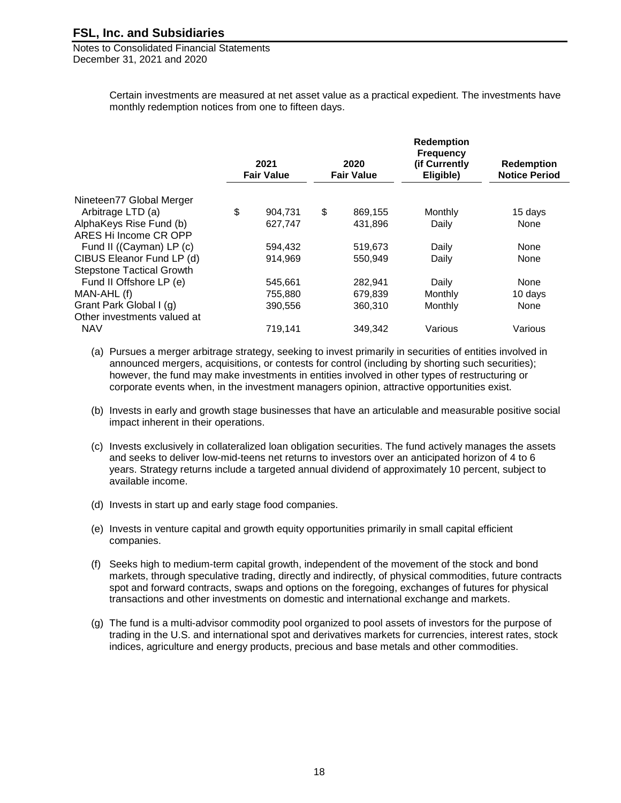Notes to Consolidated Financial Statements December 31, 2021 and 2020

> Certain investments are measured at net asset value as a practical expedient. The investments have monthly redemption notices from one to fifteen days.

|                                               |                           |                           | <b>Redemption</b><br><b>Frequency</b> |                                           |
|-----------------------------------------------|---------------------------|---------------------------|---------------------------------------|-------------------------------------------|
|                                               | 2021<br><b>Fair Value</b> | 2020<br><b>Fair Value</b> | (if Currently<br>Eligible)            | <b>Redemption</b><br><b>Notice Period</b> |
|                                               |                           |                           |                                       |                                           |
| Nineteen77 Global Merger<br>Arbitrage LTD (a) | \$<br>904.731             | \$<br>869,155             | Monthly                               | 15 days                                   |
| AlphaKeys Rise Fund (b)                       | 627.747                   | 431.896                   | Daily                                 | None                                      |
| ARES Hi Income CR OPP                         |                           |                           |                                       |                                           |
| Fund II ((Cayman) LP (c)                      | 594.432                   | 519,673                   | Daily                                 | None                                      |
| CIBUS Eleanor Fund LP (d)                     | 914.969                   | 550.949                   | Daily                                 | None                                      |
| <b>Stepstone Tactical Growth</b>              |                           |                           |                                       |                                           |
| Fund II Offshore LP (e)                       | 545,661                   | 282,941                   | Daily                                 | None                                      |
| MAN-AHL (f)                                   | 755,880                   | 679,839                   | Monthly                               | 10 days                                   |
| Grant Park Global I (g)                       | 390,556                   | 360,310                   | Monthly                               | None                                      |
| Other investments valued at                   |                           |                           |                                       |                                           |
| <b>NAV</b>                                    | 719.141                   | 349.342                   | Various                               | Various                                   |
|                                               |                           |                           |                                       |                                           |

- (a) Pursues a merger arbitrage strategy, seeking to invest primarily in securities of entities involved in announced mergers, acquisitions, or contests for control (including by shorting such securities); however, the fund may make investments in entities involved in other types of restructuring or corporate events when, in the investment managers opinion, attractive opportunities exist.
- (b) Invests in early and growth stage businesses that have an articulable and measurable positive social impact inherent in their operations.
- (c) Invests exclusively in collateralized loan obligation securities. The fund actively manages the assets and seeks to deliver low-mid-teens net returns to investors over an anticipated horizon of 4 to 6 years. Strategy returns include a targeted annual dividend of approximately 10 percent, subject to available income.
- (d) Invests in start up and early stage food companies.
- (e) Invests in venture capital and growth equity opportunities primarily in small capital efficient companies.
- (f) Seeks high to medium-term capital growth, independent of the movement of the stock and bond markets, through speculative trading, directly and indirectly, of physical commodities, future contracts spot and forward contracts, swaps and options on the foregoing, exchanges of futures for physical transactions and other investments on domestic and international exchange and markets.
- (g) The fund is a multi-advisor commodity pool organized to pool assets of investors for the purpose of trading in the U.S. and international spot and derivatives markets for currencies, interest rates, stock indices, agriculture and energy products, precious and base metals and other commodities.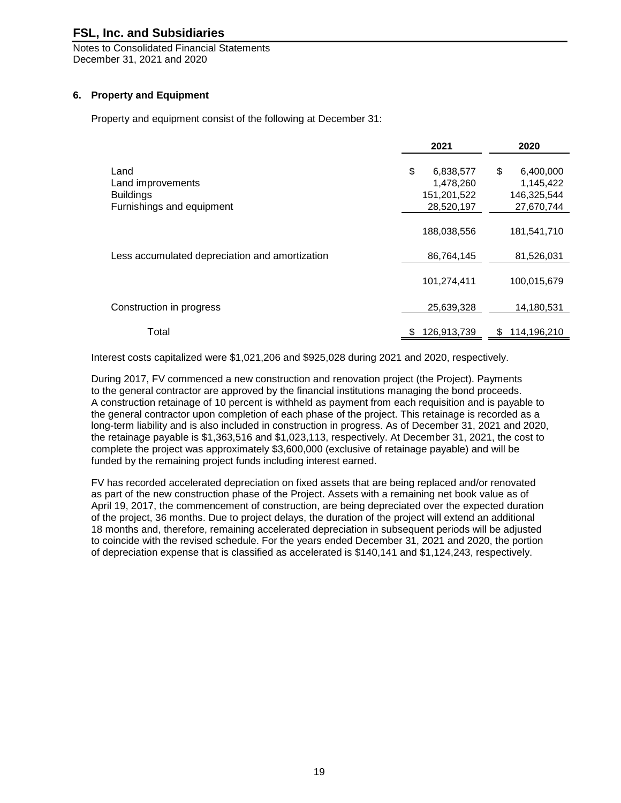Notes to Consolidated Financial Statements December 31, 2021 and 2020

#### **6. Property and Equipment**

Property and equipment consist of the following at December 31:

|                                                                            | 2021                                                      | 2020                                                      |
|----------------------------------------------------------------------------|-----------------------------------------------------------|-----------------------------------------------------------|
| Land<br>Land improvements<br><b>Buildings</b><br>Furnishings and equipment | \$<br>6,838,577<br>1,478,260<br>151,201,522<br>28,520,197 | \$<br>6,400,000<br>1,145,422<br>146,325,544<br>27,670,744 |
| Less accumulated depreciation and amortization                             | 188,038,556<br>86,764,145                                 | 181,541,710<br>81,526,031                                 |
| Construction in progress                                                   | 101,274,411<br>25,639,328                                 | 100,015,679<br>14,180,531                                 |
|                                                                            |                                                           |                                                           |
| Total                                                                      | 126,913,739                                               | 114,196,210<br>\$                                         |

Interest costs capitalized were \$1,021,206 and \$925,028 during 2021 and 2020, respectively.

During 2017, FV commenced a new construction and renovation project (the Project). Payments to the general contractor are approved by the financial institutions managing the bond proceeds. A construction retainage of 10 percent is withheld as payment from each requisition and is payable to the general contractor upon completion of each phase of the project. This retainage is recorded as a long-term liability and is also included in construction in progress. As of December 31, 2021 and 2020, the retainage payable is \$1,363,516 and \$1,023,113, respectively. At December 31, 2021, the cost to complete the project was approximately \$3,600,000 (exclusive of retainage payable) and will be funded by the remaining project funds including interest earned.

FV has recorded accelerated depreciation on fixed assets that are being replaced and/or renovated as part of the new construction phase of the Project. Assets with a remaining net book value as of April 19, 2017, the commencement of construction, are being depreciated over the expected duration of the project, 36 months. Due to project delays, the duration of the project will extend an additional 18 months and, therefore, remaining accelerated depreciation in subsequent periods will be adjusted to coincide with the revised schedule. For the years ended December 31, 2021 and 2020, the portion of depreciation expense that is classified as accelerated is \$140,141 and \$1,124,243, respectively.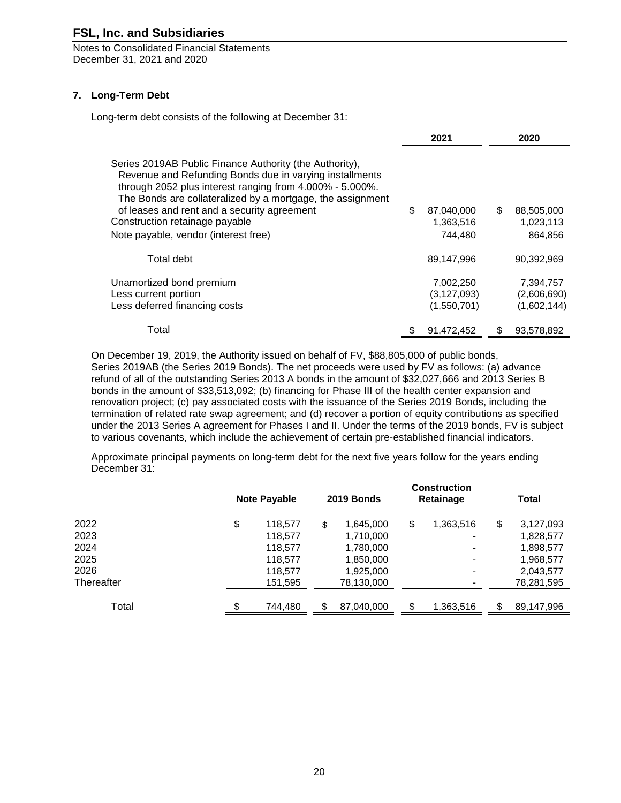Notes to Consolidated Financial Statements December 31, 2021 and 2020

#### **7. Long-Term Debt**

Long-term debt consists of the following at December 31:

|                                                                                                                                                                                                                                              |    | 2021        |    | 2020        |
|----------------------------------------------------------------------------------------------------------------------------------------------------------------------------------------------------------------------------------------------|----|-------------|----|-------------|
| Series 2019AB Public Finance Authority (the Authority),<br>Revenue and Refunding Bonds due in varying installments<br>through 2052 plus interest ranging from 4.000% - 5.000%.<br>The Bonds are collateralized by a mortgage, the assignment |    |             |    |             |
| of leases and rent and a security agreement                                                                                                                                                                                                  | \$ | 87,040,000  | \$ | 88,505,000  |
| Construction retainage payable                                                                                                                                                                                                               |    | 1,363,516   |    | 1,023,113   |
| Note payable, vendor (interest free)                                                                                                                                                                                                         |    | 744.480     |    | 864.856     |
| Total debt                                                                                                                                                                                                                                   |    | 89.147.996  |    | 90,392,969  |
| Unamortized bond premium                                                                                                                                                                                                                     |    | 7,002,250   |    | 7,394,757   |
| Less current portion                                                                                                                                                                                                                         |    | (3,127,093) |    | (2,606,690) |
| Less deferred financing costs                                                                                                                                                                                                                |    | (1,550,701) |    | (1,602,144) |
| Total                                                                                                                                                                                                                                        | S  | 91,472,452  | S  | 93,578,892  |

On December 19, 2019, the Authority issued on behalf of FV, \$88,805,000 of public bonds, Series 2019AB (the Series 2019 Bonds). The net proceeds were used by FV as follows: (a) advance refund of all of the outstanding Series 2013 A bonds in the amount of \$32,027,666 and 2013 Series B bonds in the amount of \$33,513,092; (b) financing for Phase III of the health center expansion and renovation project; (c) pay associated costs with the issuance of the Series 2019 Bonds, including the termination of related rate swap agreement; and (d) recover a portion of equity contributions as specified under the 2013 Series A agreement for Phases I and II. Under the terms of the 2019 bonds, FV is subject to various covenants, which include the achievement of certain pre-established financial indicators.

Approximate principal payments on long-term debt for the next five years follow for the years ending December 31:

|            | <b>Note Payable</b> | 2019 Bonds       | Construction<br>Retainage | Total            |
|------------|---------------------|------------------|---------------------------|------------------|
| 2022       | \$<br>118,577       | \$<br>1,645,000  | \$<br>1,363,516           | \$<br>3,127,093  |
| 2023       | 118,577             | 1,710,000        | $\blacksquare$            | 1,828,577        |
| 2024       | 118,577             | 1,780,000        | $\blacksquare$            | 1,898,577        |
| 2025       | 118,577             | 1,850,000        | $\overline{\phantom{a}}$  | 1,968,577        |
| 2026       | 118,577             | 1,925,000        | $\blacksquare$            | 2,043,577        |
| Thereafter | 151,595             | 78,130,000       | $\overline{\phantom{a}}$  | 78,281,595       |
| Total      | \$<br>744.480       | \$<br>87,040,000 | \$<br>1,363,516           | \$<br>89,147,996 |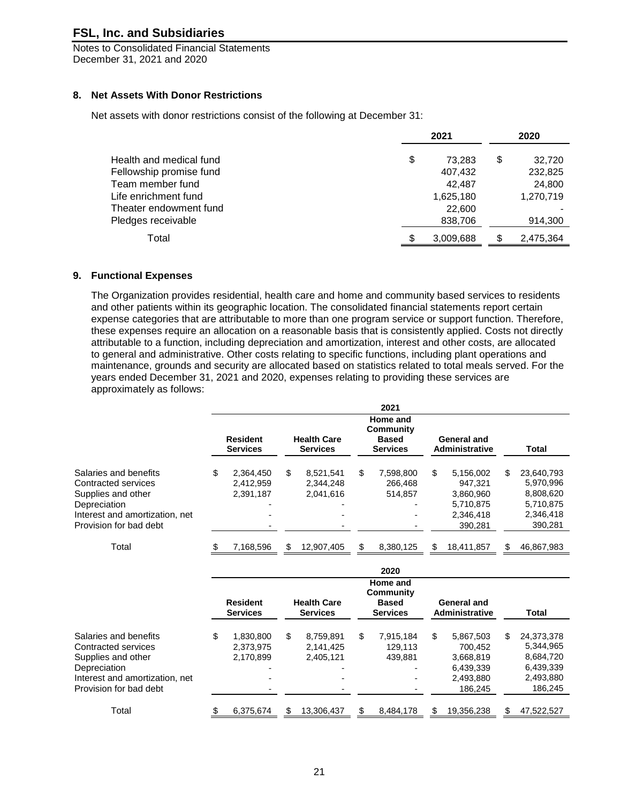Notes to Consolidated Financial Statements December 31, 2021 and 2020

#### **8. Net Assets With Donor Restrictions**

Net assets with donor restrictions consist of the following at December 31:

|                         | 2021 |           |    | 2020      |
|-------------------------|------|-----------|----|-----------|
| Health and medical fund | \$   | 73.283    | \$ | 32,720    |
| Fellowship promise fund |      | 407,432   |    | 232,825   |
| Team member fund        |      | 42,487    |    | 24,800    |
| Life enrichment fund    |      | 1,625,180 |    | 1,270,719 |
| Theater endowment fund  |      | 22,600    |    |           |
| Pledges receivable      |      | 838,706   |    | 914,300   |
| Total                   | S    | 3,009,688 |    | 2,475,364 |

#### **9. Functional Expenses**

The Organization provides residential, health care and home and community based services to residents and other patients within its geographic location. The consolidated financial statements report certain expense categories that are attributable to more than one program service or support function. Therefore, these expenses require an allocation on a reasonable basis that is consistently applied. Costs not directly attributable to a function, including depreciation and amortization, interest and other costs, are allocated to general and administrative. Other costs relating to specific functions, including plant operations and maintenance, grounds and security are allocated based on statistics related to total meals served. For the years ended December 31, 2021 and 2020, expenses relating to providing these services are approximately as follows:

|                                | 2021 |                                    |                                       |                          |                                                          |           |                                      |            |   |            |  |  |
|--------------------------------|------|------------------------------------|---------------------------------------|--------------------------|----------------------------------------------------------|-----------|--------------------------------------|------------|---|------------|--|--|
|                                |      | <b>Resident</b><br><b>Services</b> | <b>Health Care</b><br><b>Services</b> |                          | Home and<br>Community<br><b>Based</b><br><b>Services</b> |           | General and<br><b>Administrative</b> |            |   | Total      |  |  |
| Salaries and benefits          | \$   | 2.364.450                          | \$                                    | 8.521.541                | \$.                                                      | 7,598,800 | \$                                   | 5,156,002  | S | 23,640,793 |  |  |
| Contracted services            |      | 2.412.959                          |                                       | 2.344.248                |                                                          | 266.468   |                                      | 947.321    |   | 5,970,996  |  |  |
| Supplies and other             |      | 2,391,187                          |                                       | 2.041.616                |                                                          | 514.857   |                                      | 3,860,960  |   | 8,808,620  |  |  |
| Depreciation                   |      |                                    |                                       | $\overline{\phantom{0}}$ |                                                          |           |                                      | 5.710.875  |   | 5,710,875  |  |  |
| Interest and amortization, net |      |                                    |                                       |                          |                                                          |           |                                      | 2.346.418  |   | 2,346,418  |  |  |
| Provision for bad debt         |      |                                    |                                       |                          |                                                          |           |                                      | 390.281    |   | 390,281    |  |  |
|                                |      |                                    |                                       |                          |                                                          |           |                                      |            |   |            |  |  |
| Total                          |      | 7,168,596                          | \$                                    | 12.907.405               |                                                          | 8,380,125 | S                                    | 18,411,857 |   | 46,867,983 |  |  |

|                                                                          | 2020                               |                                     |                                       |                                     |                                                          |                                 |                                      |                                   |   |                                      |  |  |
|--------------------------------------------------------------------------|------------------------------------|-------------------------------------|---------------------------------------|-------------------------------------|----------------------------------------------------------|---------------------------------|--------------------------------------|-----------------------------------|---|--------------------------------------|--|--|
|                                                                          | <b>Resident</b><br><b>Services</b> |                                     | <b>Health Care</b><br><b>Services</b> |                                     | Home and<br>Community<br><b>Based</b><br><b>Services</b> |                                 | General and<br><b>Administrative</b> |                                   |   | Total                                |  |  |
| Salaries and benefits<br>Contracted services<br>Supplies and other       | \$                                 | 1.830.800<br>2,373,975<br>2.170.899 | \$                                    | 8.759.891<br>2,141,425<br>2,405,121 | \$                                                       | 7,915,184<br>129.113<br>439.881 | \$                                   | 5,867,503<br>700.452<br>3,668,819 | S | 24,373,378<br>5,344,965<br>8,684,720 |  |  |
| Depreciation<br>Interest and amortization, net<br>Provision for bad debt |                                    |                                     |                                       |                                     |                                                          |                                 |                                      | 6.439.339<br>2,493,880<br>186.245 |   | 6,439,339<br>2,493,880<br>186.245    |  |  |
| Total                                                                    |                                    | 6.375.674                           | \$                                    | 13.306.437                          |                                                          | 8.484.178                       | \$                                   | 19,356,238                        |   | 47,522,527                           |  |  |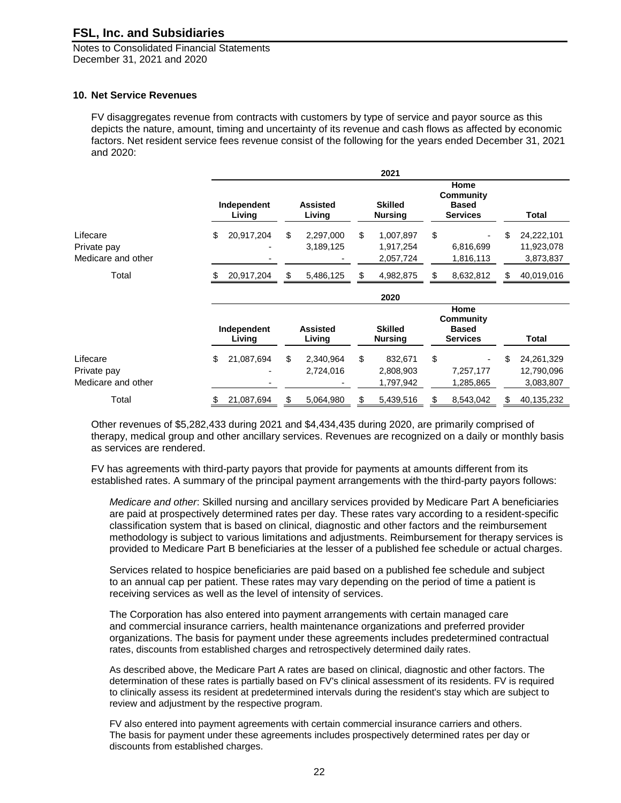Notes to Consolidated Financial Statements December 31, 2021 and 2020

#### **10. Net Service Revenues**

FV disaggregates revenue from contracts with customers by type of service and payor source as this depicts the nature, amount, timing and uncertainty of its revenue and cash flows as affected by economic factors. Net resident service fees revenue consist of the following for the years ended December 31, 2021 and 2020:

|                                               |                       |                              | 2021                                      |                                                      |                                             |
|-----------------------------------------------|-----------------------|------------------------------|-------------------------------------------|------------------------------------------------------|---------------------------------------------|
|                                               | Independent<br>Living | <b>Assisted</b><br>Living    | <b>Skilled</b><br><b>Nursing</b>          | Home<br>Community<br><b>Based</b><br><b>Services</b> | <b>Total</b>                                |
| Lifecare<br>Private pay<br>Medicare and other | \$<br>20,917,204      | \$<br>2,297,000<br>3,189,125 | \$<br>1,007,897<br>1,917,254<br>2,057,724 | \$<br>6,816,699<br>1,816,113                         | \$<br>24,222,101<br>11,923,078<br>3,873,837 |
| Total                                         | 20,917,204<br>S       | \$<br>5,486,125              | 4,982,875<br>S                            | \$<br>8,632,812                                      | 40,019,016<br>\$                            |
|                                               |                       |                              | 2020                                      |                                                      |                                             |
|                                               | Independent<br>Living | <b>Assisted</b><br>Living    | <b>Skilled</b><br><b>Nursing</b>          | Home<br>Community<br><b>Based</b><br><b>Services</b> | Total                                       |
| Lifecare<br>Private pay<br>Medicare and other | \$<br>21,087,694      | \$<br>2,340,964<br>2,724,016 | \$<br>832,671<br>2,808,903<br>1,797,942   | \$<br>٠<br>7,257,177<br>1,285,865                    | \$<br>24,261,329<br>12,790,096<br>3,083,807 |
| Total                                         | 21,087,694<br>\$      | \$<br>5,064,980              | 5,439,516<br>SБ                           | \$<br>8,543,042                                      | 40,135,232<br>S                             |

Other revenues of \$5,282,433 during 2021 and \$4,434,435 during 2020, are primarily comprised of therapy, medical group and other ancillary services. Revenues are recognized on a daily or monthly basis as services are rendered.

FV has agreements with third-party payors that provide for payments at amounts different from its established rates. A summary of the principal payment arrangements with the third-party payors follows:

*Medicare and other*: Skilled nursing and ancillary services provided by Medicare Part A beneficiaries are paid at prospectively determined rates per day. These rates vary according to a resident-specific classification system that is based on clinical, diagnostic and other factors and the reimbursement methodology is subject to various limitations and adjustments. Reimbursement for therapy services is provided to Medicare Part B beneficiaries at the lesser of a published fee schedule or actual charges.

Services related to hospice beneficiaries are paid based on a published fee schedule and subject to an annual cap per patient. These rates may vary depending on the period of time a patient is receiving services as well as the level of intensity of services.

The Corporation has also entered into payment arrangements with certain managed care and commercial insurance carriers, health maintenance organizations and preferred provider organizations. The basis for payment under these agreements includes predetermined contractual rates, discounts from established charges and retrospectively determined daily rates.

As described above, the Medicare Part A rates are based on clinical, diagnostic and other factors. The determination of these rates is partially based on FV's clinical assessment of its residents. FV is required to clinically assess its resident at predetermined intervals during the resident's stay which are subject to review and adjustment by the respective program.

FV also entered into payment agreements with certain commercial insurance carriers and others. The basis for payment under these agreements includes prospectively determined rates per day or discounts from established charges.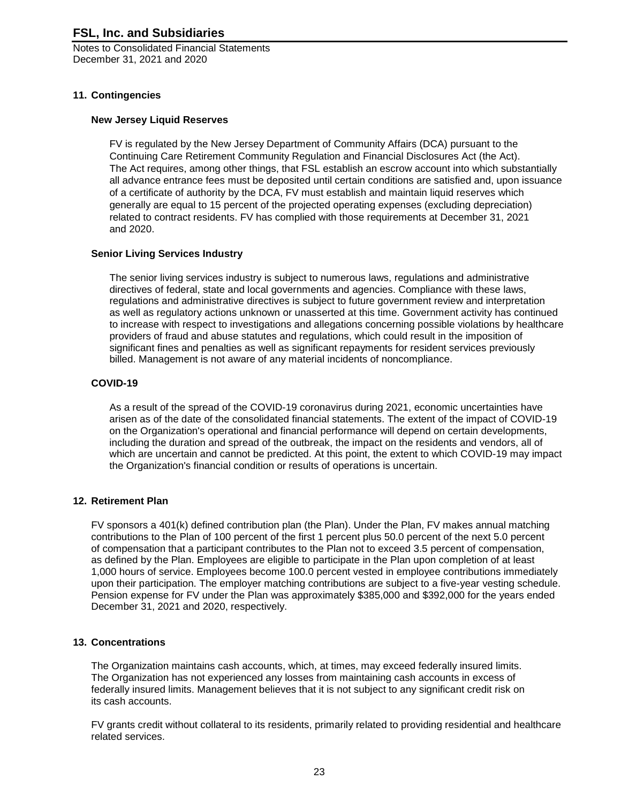Notes to Consolidated Financial Statements December 31, 2021 and 2020

#### **11. Contingencies**

#### **New Jersey Liquid Reserves**

FV is regulated by the New Jersey Department of Community Affairs (DCA) pursuant to the Continuing Care Retirement Community Regulation and Financial Disclosures Act (the Act). The Act requires, among other things, that FSL establish an escrow account into which substantially all advance entrance fees must be deposited until certain conditions are satisfied and, upon issuance of a certificate of authority by the DCA, FV must establish and maintain liquid reserves which generally are equal to 15 percent of the projected operating expenses (excluding depreciation) related to contract residents. FV has complied with those requirements at December 31, 2021 and 2020.

#### **Senior Living Services Industry**

The senior living services industry is subject to numerous laws, regulations and administrative directives of federal, state and local governments and agencies. Compliance with these laws, regulations and administrative directives is subject to future government review and interpretation as well as regulatory actions unknown or unasserted at this time. Government activity has continued to increase with respect to investigations and allegations concerning possible violations by healthcare providers of fraud and abuse statutes and regulations, which could result in the imposition of significant fines and penalties as well as significant repayments for resident services previously billed. Management is not aware of any material incidents of noncompliance.

#### **COVID-19**

As a result of the spread of the COVID-19 coronavirus during 2021, economic uncertainties have arisen as of the date of the consolidated financial statements. The extent of the impact of COVID-19 on the Organization's operational and financial performance will depend on certain developments, including the duration and spread of the outbreak, the impact on the residents and vendors, all of which are uncertain and cannot be predicted. At this point, the extent to which COVID-19 may impact the Organization's financial condition or results of operations is uncertain.

#### **12. Retirement Plan**

FV sponsors a 401(k) defined contribution plan (the Plan). Under the Plan, FV makes annual matching contributions to the Plan of 100 percent of the first 1 percent plus 50.0 percent of the next 5.0 percent of compensation that a participant contributes to the Plan not to exceed 3.5 percent of compensation, as defined by the Plan. Employees are eligible to participate in the Plan upon completion of at least 1,000 hours of service. Employees become 100.0 percent vested in employee contributions immediately upon their participation. The employer matching contributions are subject to a five-year vesting schedule. Pension expense for FV under the Plan was approximately \$385,000 and \$392,000 for the years ended December 31, 2021 and 2020, respectively.

#### **13. Concentrations**

The Organization maintains cash accounts, which, at times, may exceed federally insured limits. The Organization has not experienced any losses from maintaining cash accounts in excess of federally insured limits. Management believes that it is not subject to any significant credit risk on its cash accounts.

FV grants credit without collateral to its residents, primarily related to providing residential and healthcare related services.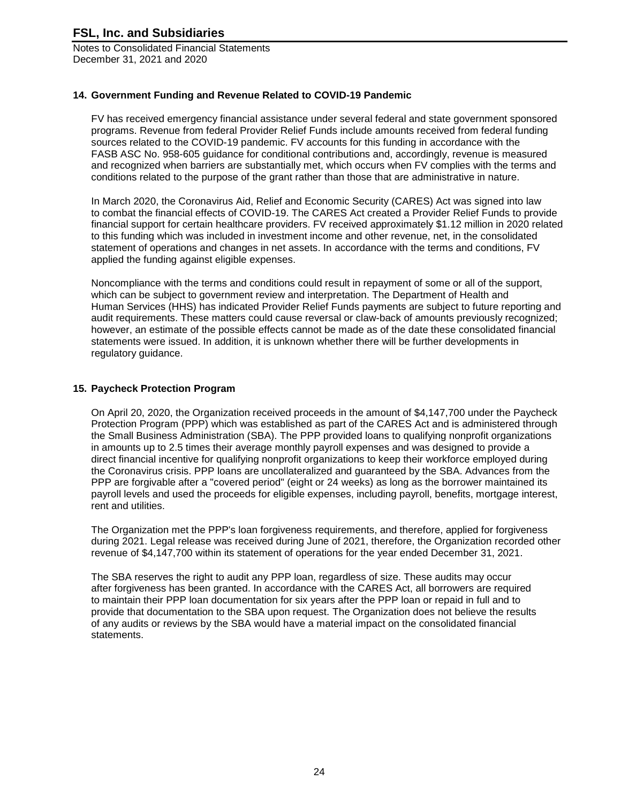Notes to Consolidated Financial Statements December 31, 2021 and 2020

#### **14. Government Funding and Revenue Related to COVID-19 Pandemic**

FV has received emergency financial assistance under several federal and state government sponsored programs. Revenue from federal Provider Relief Funds include amounts received from federal funding sources related to the COVID-19 pandemic. FV accounts for this funding in accordance with the FASB ASC No. 958-605 guidance for conditional contributions and, accordingly, revenue is measured and recognized when barriers are substantially met, which occurs when FV complies with the terms and conditions related to the purpose of the grant rather than those that are administrative in nature.

In March 2020, the Coronavirus Aid, Relief and Economic Security (CARES) Act was signed into law to combat the financial effects of COVID-19. The CARES Act created a Provider Relief Funds to provide financial support for certain healthcare providers. FV received approximately \$1.12 million in 2020 related to this funding which was included in investment income and other revenue, net, in the consolidated statement of operations and changes in net assets. In accordance with the terms and conditions, FV applied the funding against eligible expenses.

Noncompliance with the terms and conditions could result in repayment of some or all of the support, which can be subject to government review and interpretation. The Department of Health and Human Services (HHS) has indicated Provider Relief Funds payments are subject to future reporting and audit requirements. These matters could cause reversal or claw-back of amounts previously recognized; however, an estimate of the possible effects cannot be made as of the date these consolidated financial statements were issued. In addition, it is unknown whether there will be further developments in regulatory guidance.

#### **15. Paycheck Protection Program**

On April 20, 2020, the Organization received proceeds in the amount of \$4,147,700 under the Paycheck Protection Program (PPP) which was established as part of the CARES Act and is administered through the Small Business Administration (SBA). The PPP provided loans to qualifying nonprofit organizations in amounts up to 2.5 times their average monthly payroll expenses and was designed to provide a direct financial incentive for qualifying nonprofit organizations to keep their workforce employed during the Coronavirus crisis. PPP loans are uncollateralized and guaranteed by the SBA. Advances from the PPP are forgivable after a "covered period" (eight or 24 weeks) as long as the borrower maintained its payroll levels and used the proceeds for eligible expenses, including payroll, benefits, mortgage interest, rent and utilities.

The Organization met the PPP's loan forgiveness requirements, and therefore, applied for forgiveness during 2021. Legal release was received during June of 2021, therefore, the Organization recorded other revenue of \$4,147,700 within its statement of operations for the year ended December 31, 2021.

The SBA reserves the right to audit any PPP loan, regardless of size. These audits may occur after forgiveness has been granted. In accordance with the CARES Act, all borrowers are required to maintain their PPP loan documentation for six years after the PPP loan or repaid in full and to provide that documentation to the SBA upon request. The Organization does not believe the results of any audits or reviews by the SBA would have a material impact on the consolidated financial statements.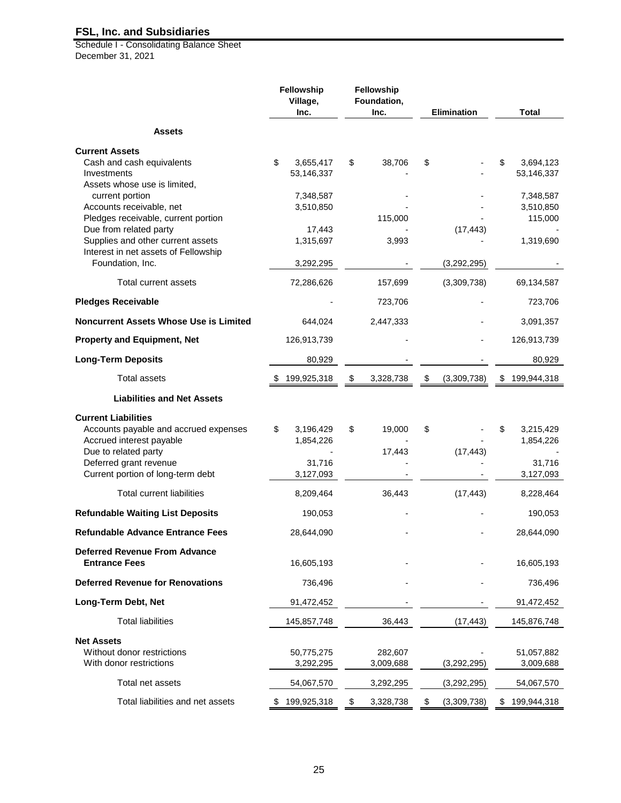Schedule I - Consolidating Balance Sheet December 31, 2021

|                                                                                                 | Fellowship<br>Village,<br>Inc. | Fellowship<br>Foundation,<br>Inc. | <b>Elimination</b> |    | Total                   |  |  |
|-------------------------------------------------------------------------------------------------|--------------------------------|-----------------------------------|--------------------|----|-------------------------|--|--|
| <b>Assets</b>                                                                                   |                                |                                   |                    |    |                         |  |  |
| <b>Current Assets</b>                                                                           |                                |                                   |                    |    |                         |  |  |
| Cash and cash equivalents<br>Investments<br>Assets whose use is limited,                        | \$<br>3,655,417<br>53,146,337  | \$<br>38,706                      | \$                 | \$ | 3,694,123<br>53,146,337 |  |  |
| current portion                                                                                 | 7,348,587                      |                                   |                    |    | 7,348,587               |  |  |
| Accounts receivable, net                                                                        | 3,510,850                      |                                   |                    |    | 3,510,850               |  |  |
| Pledges receivable, current portion<br>Due from related party                                   |                                | 115,000                           |                    |    | 115,000                 |  |  |
| Supplies and other current assets                                                               | 17,443<br>1,315,697            | 3,993                             | (17, 443)          |    | 1,319,690               |  |  |
| Interest in net assets of Fellowship                                                            |                                |                                   |                    |    |                         |  |  |
| Foundation, Inc.                                                                                | 3,292,295                      |                                   | (3,292,295)        |    |                         |  |  |
| <b>Total current assets</b>                                                                     | 72,286,626                     | 157,699                           | (3,309,738)        |    | 69,134,587              |  |  |
| <b>Pledges Receivable</b>                                                                       |                                | 723,706                           |                    |    | 723,706                 |  |  |
| <b>Noncurrent Assets Whose Use is Limited</b>                                                   | 644,024                        | 2,447,333                         |                    |    | 3,091,357               |  |  |
| <b>Property and Equipment, Net</b>                                                              | 126,913,739                    |                                   |                    |    | 126,913,739             |  |  |
| <b>Long-Term Deposits</b>                                                                       | 80,929                         |                                   |                    |    | 80,929                  |  |  |
| <b>Total assets</b>                                                                             | 199,925,318                    | \$<br>3,328,738                   | \$<br>(3,309,738)  | \$ | 199,944,318             |  |  |
| <b>Liabilities and Net Assets</b>                                                               |                                |                                   |                    |    |                         |  |  |
| <b>Current Liabilities</b><br>Accounts payable and accrued expenses<br>Accrued interest payable | \$<br>3,196,429<br>1,854,226   | \$<br>19,000                      | \$                 | \$ | 3,215,429<br>1,854,226  |  |  |
| Due to related party                                                                            |                                | 17,443                            | (17, 443)          |    |                         |  |  |
| Deferred grant revenue                                                                          | 31,716                         |                                   |                    |    | 31,716                  |  |  |
| Current portion of long-term debt                                                               | 3,127,093                      |                                   |                    |    | 3,127,093               |  |  |
| <b>Total current liabilities</b>                                                                | 8,209,464                      | 36,443                            | (17, 443)          |    | 8,228,464               |  |  |
| <b>Refundable Waiting List Deposits</b>                                                         | 190,053                        |                                   |                    |    | 190,053                 |  |  |
| <b>Refundable Advance Entrance Fees</b>                                                         | 28,644,090                     |                                   |                    |    | 28,644,090              |  |  |
| <b>Deferred Revenue From Advance</b><br><b>Entrance Fees</b>                                    | 16,605,193                     |                                   |                    |    | 16,605,193              |  |  |
| <b>Deferred Revenue for Renovations</b>                                                         | 736,496                        |                                   |                    |    | 736,496                 |  |  |
| Long-Term Debt, Net                                                                             | 91,472,452                     |                                   |                    |    | 91,472,452              |  |  |
| <b>Total liabilities</b>                                                                        | 145,857,748                    | 36,443                            | (17, 443)          |    | 145,876,748             |  |  |
| <b>Net Assets</b>                                                                               |                                |                                   |                    |    |                         |  |  |
| Without donor restrictions                                                                      | 50,775,275                     | 282,607                           |                    |    | 51,057,882              |  |  |
| With donor restrictions                                                                         | 3,292,295                      | 3,009,688                         | (3, 292, 295)      |    | 3,009,688               |  |  |
| Total net assets                                                                                | 54,067,570                     | 3,292,295                         | (3,292,295)        |    | 54,067,570              |  |  |
| Total liabilities and net assets                                                                | 199,925,318                    | \$<br>3,328,738                   | \$<br>(3,309,738)  | \$ | 199,944,318             |  |  |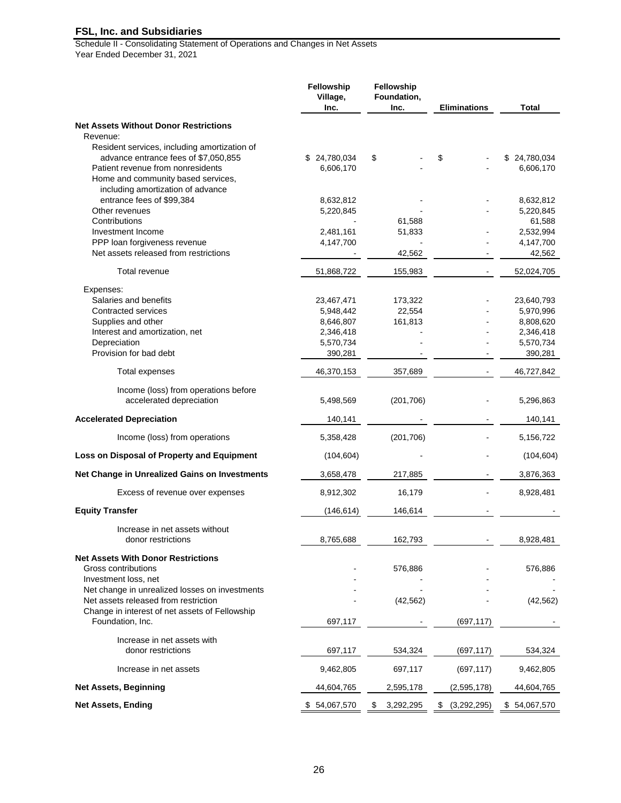Schedule II - Consolidating Statement of Operations and Changes in Net Assets Year Ended December 31, 2021

|                                                | Fellowship<br>Fellowship<br>Village,<br>Foundation,<br>Inc.<br>Inc. | <b>Eliminations</b> | <b>Total</b>   |               |
|------------------------------------------------|---------------------------------------------------------------------|---------------------|----------------|---------------|
| <b>Net Assets Without Donor Restrictions</b>   |                                                                     |                     |                |               |
| Revenue:                                       |                                                                     |                     |                |               |
| Resident services, including amortization of   |                                                                     |                     |                |               |
| advance entrance fees of \$7,050,855           | \$24,780,034                                                        | \$                  | \$             | \$ 24,780,034 |
| Patient revenue from nonresidents              | 6,606,170                                                           |                     |                | 6,606,170     |
| Home and community based services,             |                                                                     |                     |                |               |
| including amortization of advance              |                                                                     |                     |                |               |
| entrance fees of \$99,384                      | 8,632,812                                                           |                     |                | 8,632,812     |
| Other revenues                                 | 5,220,845                                                           |                     |                | 5,220,845     |
| Contributions                                  |                                                                     | 61,588              |                | 61,588        |
| Investment Income                              | 2,481,161                                                           | 51,833              |                | 2,532,994     |
| PPP loan forgiveness revenue                   | 4,147,700                                                           |                     |                | 4,147,700     |
| Net assets released from restrictions          |                                                                     | 42,562              |                | 42,562        |
| Total revenue                                  | 51,868,722                                                          | 155,983             |                | 52,024,705    |
| Expenses:                                      |                                                                     |                     |                |               |
| Salaries and benefits                          | 23,467,471                                                          | 173,322             |                | 23,640,793    |
| Contracted services                            | 5,948,442                                                           | 22,554              |                | 5,970,996     |
| Supplies and other                             | 8,646,807                                                           | 161,813             |                | 8,808,620     |
| Interest and amortization, net                 | 2,346,418                                                           |                     |                | 2,346,418     |
| Depreciation                                   | 5,570,734                                                           |                     |                | 5,570,734     |
| Provision for bad debt                         | 390,281                                                             |                     |                | 390,281       |
| Total expenses                                 | 46,370,153                                                          | 357,689             |                | 46,727,842    |
| Income (loss) from operations before           |                                                                     |                     |                |               |
| accelerated depreciation                       | 5,498,569                                                           | (201, 706)          |                | 5,296,863     |
| <b>Accelerated Depreciation</b>                | 140,141                                                             |                     |                | 140,141       |
| Income (loss) from operations                  | 5,358,428                                                           | (201, 706)          |                | 5,156,722     |
| Loss on Disposal of Property and Equipment     | (104, 604)                                                          |                     |                | (104, 604)    |
| Net Change in Unrealized Gains on Investments  | 3,658,478                                                           | 217,885             |                | 3,876,363     |
| Excess of revenue over expenses                | 8,912,302                                                           | 16,179              |                | 8,928,481     |
| <b>Equity Transfer</b>                         | (146, 614)                                                          | 146,614             |                |               |
| Increase in net assets without                 |                                                                     |                     |                |               |
| donor restrictions                             | 8,765,688                                                           | 162,793             |                | 8,928,481     |
| <b>Net Assets With Donor Restrictions</b>      |                                                                     |                     |                |               |
| Gross contributions                            |                                                                     | 576,886             |                | 576,886       |
| Investment loss, net                           |                                                                     |                     |                |               |
| Net change in unrealized losses on investments |                                                                     |                     |                |               |
| Net assets released from restriction           |                                                                     | (42, 562)           |                | (42, 562)     |
| Change in interest of net assets of Fellowship |                                                                     |                     |                |               |
| Foundation, Inc.                               | 697,117                                                             |                     | (697, 117)     |               |
| Increase in net assets with                    |                                                                     |                     |                |               |
| donor restrictions                             | 697,117                                                             | 534,324             | (697, 117)     | 534,324       |
|                                                |                                                                     |                     |                |               |
| Increase in net assets                         | 9,462,805                                                           | 697,117             | (697, 117)     | 9,462,805     |
| <b>Net Assets, Beginning</b>                   | 44,604,765                                                          | 2,595,178           | (2, 595, 178)  | 44,604,765    |
| <b>Net Assets, Ending</b>                      | \$54,067,570                                                        | 3,292,295<br>\$     | \$ (3,292,295) | \$54,067,570  |